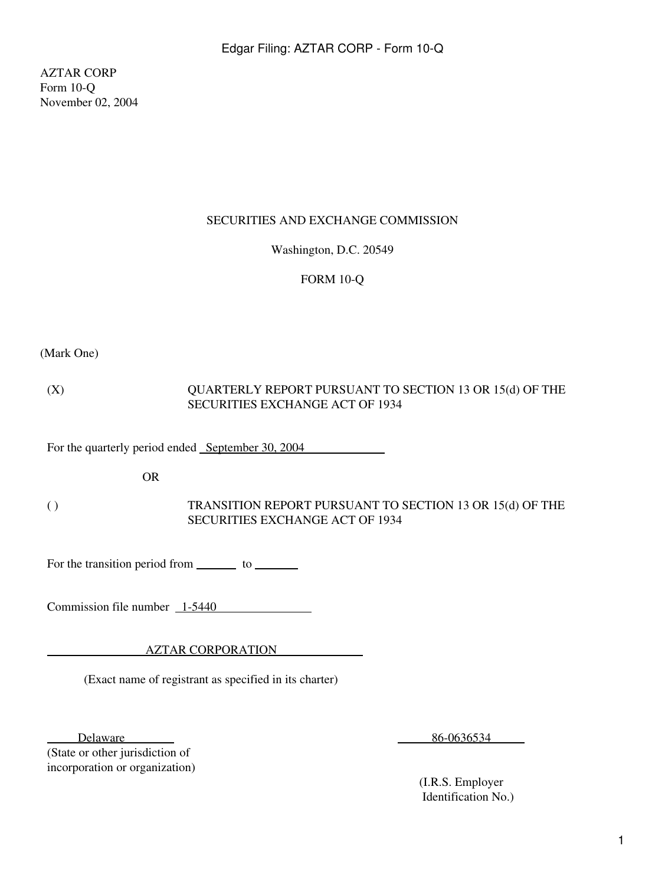AZTAR CORP Form 10-Q November 02, 2004

## SECURITIES AND EXCHANGE COMMISSION

Washington, D.C. 20549

# FORM 10-Q

(Mark One)

(X) QUARTERLY REPORT PURSUANT TO SECTION 13 OR 15(d) OF THE SECURITIES EXCHANGE ACT OF 1934

For the quarterly period ended September 30, 2004

OR

( ) TRANSITION REPORT PURSUANT TO SECTION 13 OR 15(d) OF THE SECURITIES EXCHANGE ACT OF 1934

For the transition period from \_\_\_\_\_\_\_\_ to \_\_\_\_\_\_\_\_

Commission file number  $\frac{1-5440}{ }$ 

AZTAR CORPORATION

(Exact name of registrant as specified in its charter)

Delaware **Delaware** 

(State or other jurisdiction of incorporation or organization) 86-0636534

 (I.R.S. Employer Identification No.)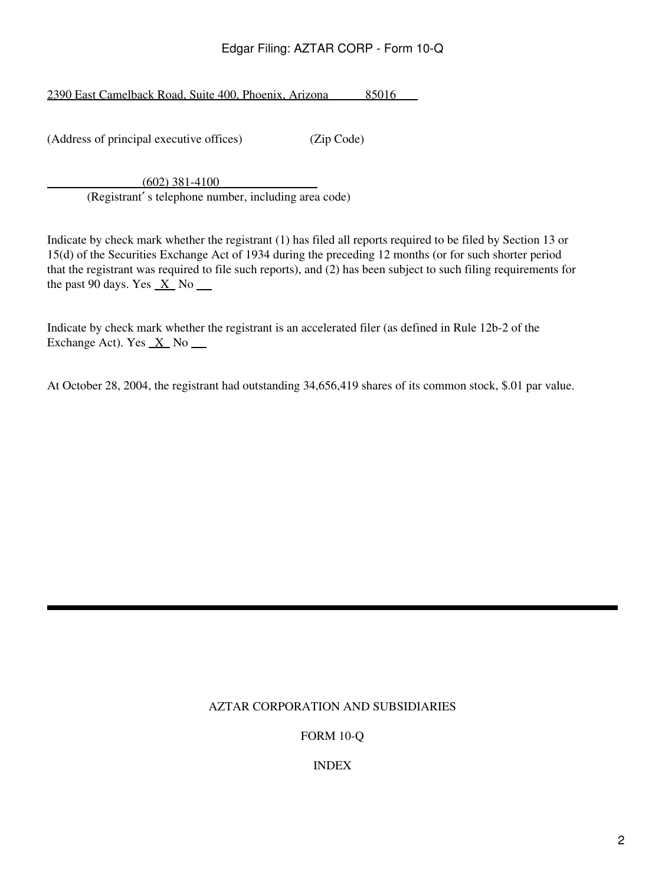2390 East Camelback Road, Suite 400, Phoenix, Arizona 85016

(Address of principal executive offices) (Zip Code)

 (602) 381-4100 (Registrant′ s telephone number, including area code)

Indicate by check mark whether the registrant (1) has filed all reports required to be filed by Section 13 or 15(d) of the Securities Exchange Act of 1934 during the preceding 12 months (or for such shorter period that the registrant was required to file such reports), and (2) has been subject to such filing requirements for the past 90 days. Yes  $X$  No  $\blacksquare$ 

Indicate by check mark whether the registrant is an accelerated filer (as defined in Rule 12b-2 of the Exchange Act). Yes  $X$  No  $\Box$ 

At October 28, 2004, the registrant had outstanding 34,656,419 shares of its common stock, \$.01 par value.

# AZTAR CORPORATION AND SUBSIDIARIES

FORM 10-Q

INDEX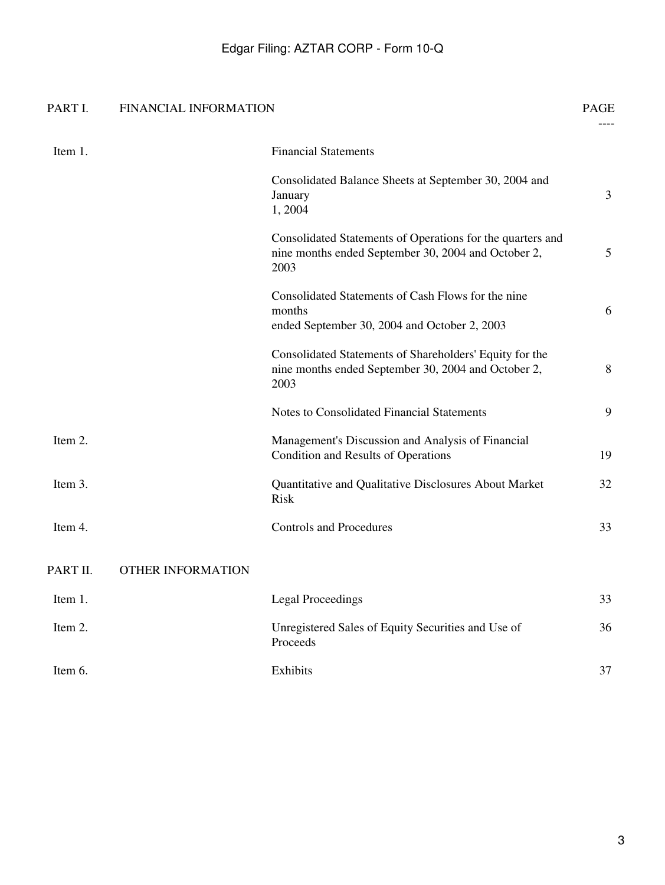# PART I. FINANCIAL INFORMATION PAGE

|          |                          |                                                                                                                           | $---$ |
|----------|--------------------------|---------------------------------------------------------------------------------------------------------------------------|-------|
| Item 1.  |                          | <b>Financial Statements</b>                                                                                               |       |
|          |                          | Consolidated Balance Sheets at September 30, 2004 and<br>January<br>1,2004                                                | 3     |
|          |                          | Consolidated Statements of Operations for the quarters and<br>nine months ended September 30, 2004 and October 2,<br>2003 | 5     |
|          |                          | Consolidated Statements of Cash Flows for the nine<br>months<br>ended September 30, 2004 and October 2, 2003              | 6     |
|          |                          | Consolidated Statements of Shareholders' Equity for the<br>nine months ended September 30, 2004 and October 2,<br>2003    | 8     |
|          |                          | Notes to Consolidated Financial Statements                                                                                | 9     |
| Item 2.  |                          | Management's Discussion and Analysis of Financial<br>Condition and Results of Operations                                  | 19    |
| Item 3.  |                          | Quantitative and Qualitative Disclosures About Market<br><b>Risk</b>                                                      | 32    |
| Item 4.  |                          | <b>Controls and Procedures</b>                                                                                            | 33    |
| PART II. | <b>OTHER INFORMATION</b> |                                                                                                                           |       |
| Item 1.  |                          | <b>Legal Proceedings</b>                                                                                                  | 33    |
| Item 2.  |                          | Unregistered Sales of Equity Securities and Use of<br>Proceeds                                                            | 36    |
| Item 6.  |                          | Exhibits                                                                                                                  | 37    |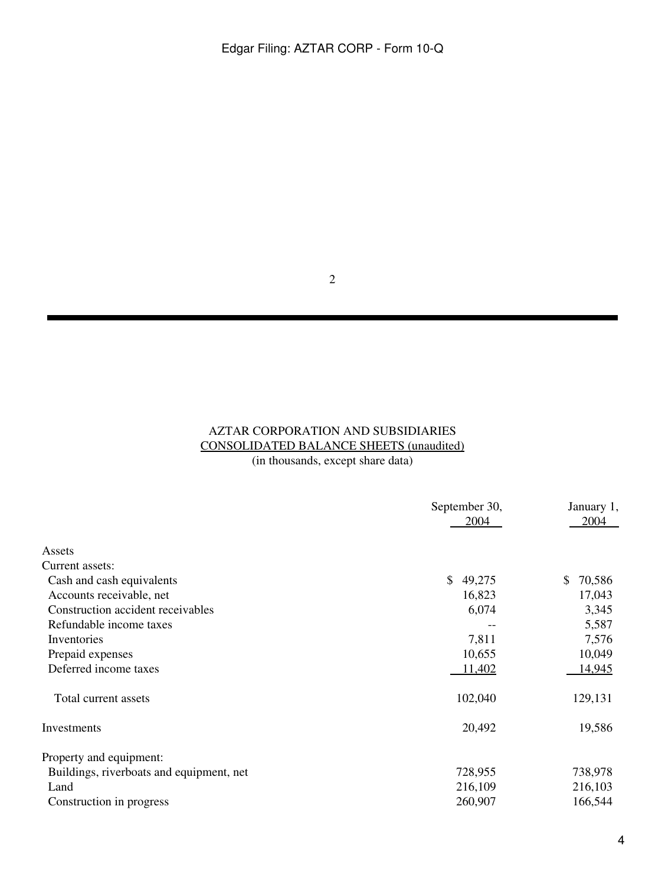2

# AZTAR CORPORATION AND SUBSIDIARIES CONSOLIDATED BALANCE SHEETS (unaudited) (in thousands, except share data)

|                                          | September 30,<br><u>2004</u> | January 1,<br>2004 |
|------------------------------------------|------------------------------|--------------------|
| Assets                                   |                              |                    |
| Current assets:                          |                              |                    |
| Cash and cash equivalents                | \$<br>49,275                 | \$<br>70,586       |
| Accounts receivable, net                 | 16,823                       | 17,043             |
| Construction accident receivables        | 6,074                        | 3,345              |
| Refundable income taxes                  |                              | 5,587              |
| Inventories                              | 7,811                        | 7,576              |
| Prepaid expenses                         | 10,655                       | 10,049             |
| Deferred income taxes                    | 11,402                       | <u>14,945</u>      |
| Total current assets                     | 102,040                      | 129,131            |
| Investments                              | 20,492                       | 19,586             |
| Property and equipment:                  |                              |                    |
| Buildings, riverboats and equipment, net | 728,955                      | 738,978            |
| Land                                     | 216,109                      | 216,103            |
| Construction in progress                 | 260,907                      | 166,544            |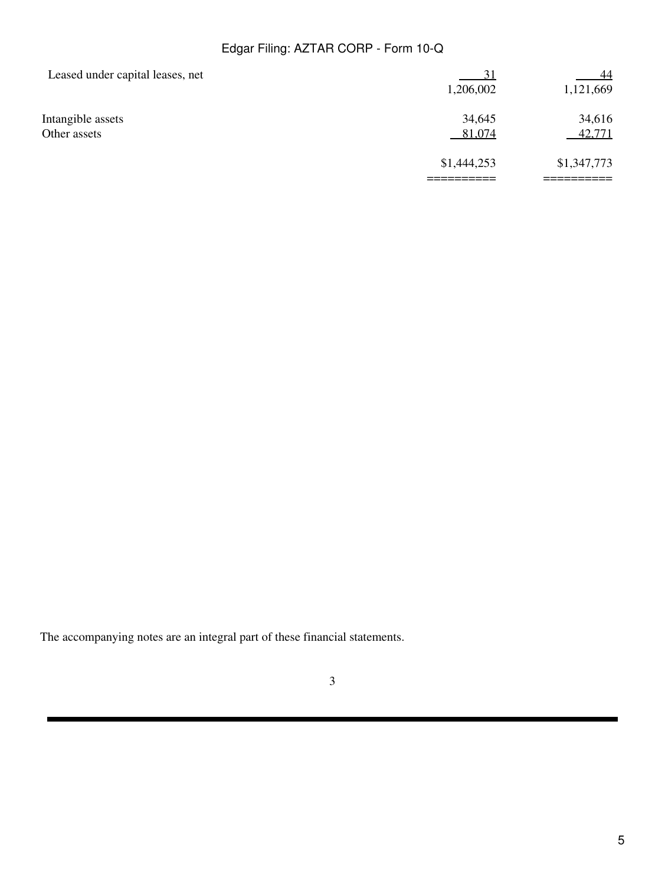| Leased under capital leases, net | $\overline{31}$ | 44          |
|----------------------------------|-----------------|-------------|
|                                  | 1,206,002       | 1,121,669   |
| Intangible assets                | 34,645          | 34,616      |
| Other assets                     | 81,074          | 42,771      |
|                                  | \$1,444,253     | \$1,347,773 |
|                                  |                 |             |

The accompanying notes are an integral part of these financial statements.

3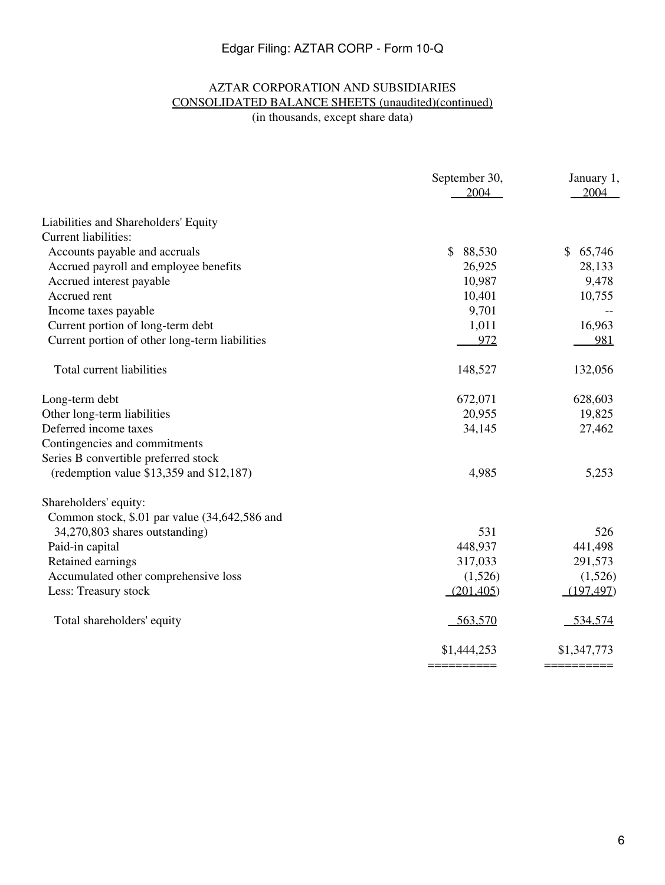# AZTAR CORPORATION AND SUBSIDIARIES CONSOLIDATED BALANCE SHEETS (unaudited)(continued)

(in thousands, except share data)

|                                                | September 30,<br>2004  | January 1,<br>2004     |
|------------------------------------------------|------------------------|------------------------|
| Liabilities and Shareholders' Equity           |                        |                        |
| <b>Current liabilities:</b>                    |                        |                        |
| Accounts payable and accruals                  | $\mathbb{S}$<br>88,530 | $\mathbb{S}$<br>65,746 |
| Accrued payroll and employee benefits          | 26,925                 | 28,133                 |
| Accrued interest payable                       | 10,987                 | 9,478                  |
| Accrued rent                                   | 10,401                 | 10,755                 |
| Income taxes payable                           | 9,701                  |                        |
| Current portion of long-term debt              | 1,011                  | 16,963                 |
| Current portion of other long-term liabilities | 972                    | 981                    |
| Total current liabilities                      | 148,527                | 132,056                |
| Long-term debt                                 | 672,071                | 628,603                |
| Other long-term liabilities                    | 20,955                 | 19,825                 |
| Deferred income taxes                          | 34,145                 | 27,462                 |
| Contingencies and commitments                  |                        |                        |
| Series B convertible preferred stock           |                        |                        |
| (redemption value $$13,359$ and $$12,187$ )    | 4,985                  | 5,253                  |
| Shareholders' equity:                          |                        |                        |
| Common stock, \$.01 par value (34,642,586 and  |                        |                        |
| 34,270,803 shares outstanding)                 | 531                    | 526                    |
| Paid-in capital                                | 448,937                | 441,498                |
| Retained earnings                              | 317,033                | 291,573                |
| Accumulated other comprehensive loss           | (1,526)                | (1,526)                |
| Less: Treasury stock                           | (201, 405)             | (197, 497)             |
| Total shareholders' equity                     | 563,570                | 534,574                |
|                                                | \$1,444,253            | \$1,347,773            |
|                                                | __________             | ==========             |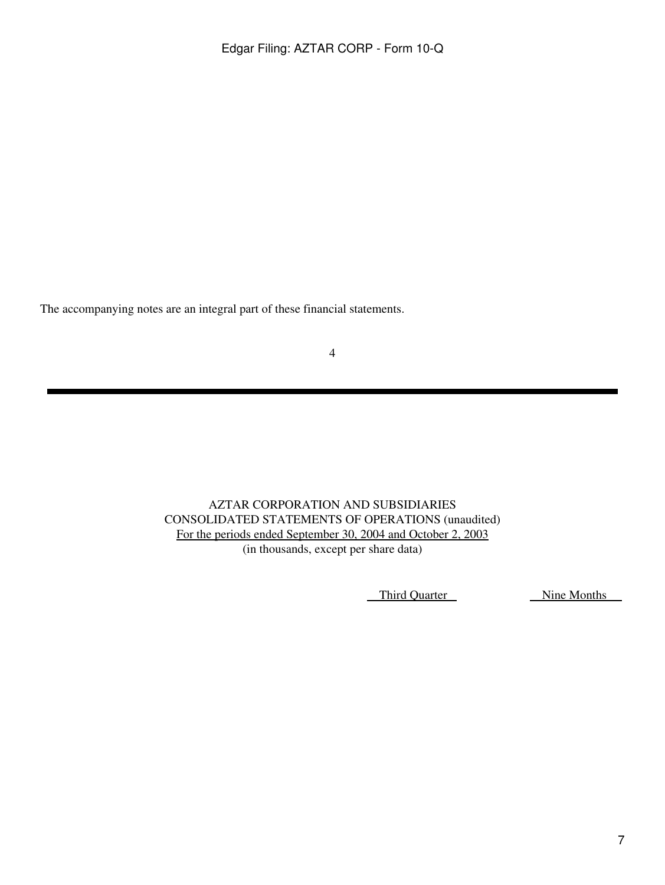The accompanying notes are an integral part of these financial statements.

4

AZTAR CORPORATION AND SUBSIDIARIES CONSOLIDATED STATEMENTS OF OPERATIONS (unaudited) For the periods ended September 30, 2004 and October 2, 2003 (in thousands, except per share data)

Third Quarter Nine Months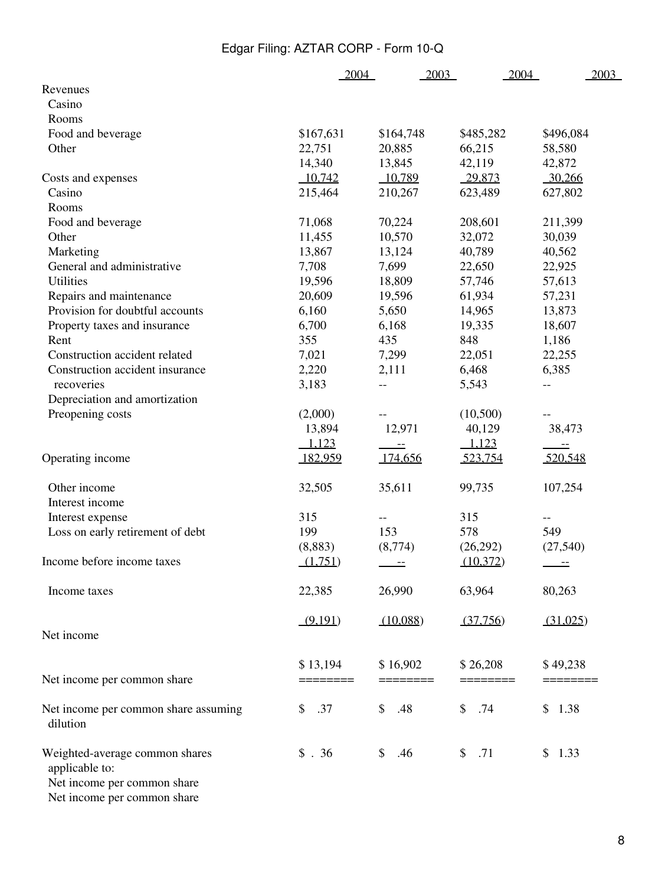|                                                                                 | 2004      | 2003                     | 2004      | 2003                     |
|---------------------------------------------------------------------------------|-----------|--------------------------|-----------|--------------------------|
| Revenues                                                                        |           |                          |           |                          |
| Casino                                                                          |           |                          |           |                          |
| Rooms                                                                           |           |                          |           |                          |
| Food and beverage                                                               | \$167,631 | \$164,748                | \$485,282 | \$496,084                |
| Other                                                                           | 22,751    | 20,885                   | 66,215    | 58,580                   |
|                                                                                 | 14,340    | 13,845                   | 42,119    | 42,872                   |
| Costs and expenses                                                              | 10,742    | 10,789                   | 29,873    | 30,266                   |
| Casino                                                                          | 215,464   | 210,267                  | 623,489   | 627,802                  |
| Rooms                                                                           |           |                          |           |                          |
| Food and beverage                                                               | 71,068    | 70,224                   | 208,601   | 211,399                  |
| Other                                                                           | 11,455    | 10,570                   | 32,072    | 30,039                   |
| Marketing                                                                       | 13,867    | 13,124                   | 40,789    | 40,562                   |
| General and administrative                                                      | 7,708     | 7,699                    | 22,650    | 22,925                   |
| <b>Utilities</b>                                                                | 19,596    | 18,809                   | 57,746    | 57,613                   |
| Repairs and maintenance                                                         | 20,609    | 19,596                   | 61,934    | 57,231                   |
| Provision for doubtful accounts                                                 | 6,160     | 5,650                    | 14,965    | 13,873                   |
| Property taxes and insurance                                                    | 6,700     | 6,168                    | 19,335    | 18,607                   |
| Rent                                                                            | 355       | 435                      | 848       | 1,186                    |
| Construction accident related                                                   | 7,021     | 7,299                    | 22,051    | 22,255                   |
| Construction accident insurance                                                 | 2,220     | 2,111                    | 6,468     | 6,385                    |
| recoveries                                                                      | 3,183     | $- -$                    | 5,543     | $\overline{\phantom{m}}$ |
| Depreciation and amortization                                                   |           |                          |           |                          |
| Preopening costs                                                                | (2,000)   |                          | (10,500)  | --                       |
|                                                                                 | 13,894    | 12,971                   | 40,129    | 38,473                   |
|                                                                                 | 1,123     | $- \, -$                 | 1,123     | $-\, -$                  |
| Operating income                                                                | 182,959   | 174,656                  | 523,754   | 520,548                  |
| Other income                                                                    | 32,505    | 35,611                   | 99,735    | 107,254                  |
| Interest income                                                                 |           |                          |           |                          |
| Interest expense                                                                | 315       | --                       | 315       | --                       |
| Loss on early retirement of debt                                                | 199       | 153                      | 578       | 549                      |
|                                                                                 | (8, 883)  | (8,774)                  | (26,292)  | (27, 540)                |
| Income before income taxes                                                      | (1,751)   | $\overline{\phantom{m}}$ | (10,372)  | $\equiv$                 |
| Income taxes                                                                    | 22,385    | 26,990                   | 63,964    | 80,263                   |
|                                                                                 | (9,191)   | (10,088)                 | (37,756)  | (31,025)                 |
| Net income                                                                      |           |                          |           |                          |
|                                                                                 | \$13,194  | \$16,902                 | \$26,208  | \$49,238                 |
| Net income per common share                                                     |           |                          |           |                          |
| Net income per common share assuming<br>dilution                                | .37<br>\$ | \$<br>.48                | \$<br>.74 | 1.38<br>\$               |
| Weighted-average common shares<br>applicable to:<br>Net income per common share | \$.36     | \$<br>.46                | \$<br>.71 | \$1.33                   |

Net income per common share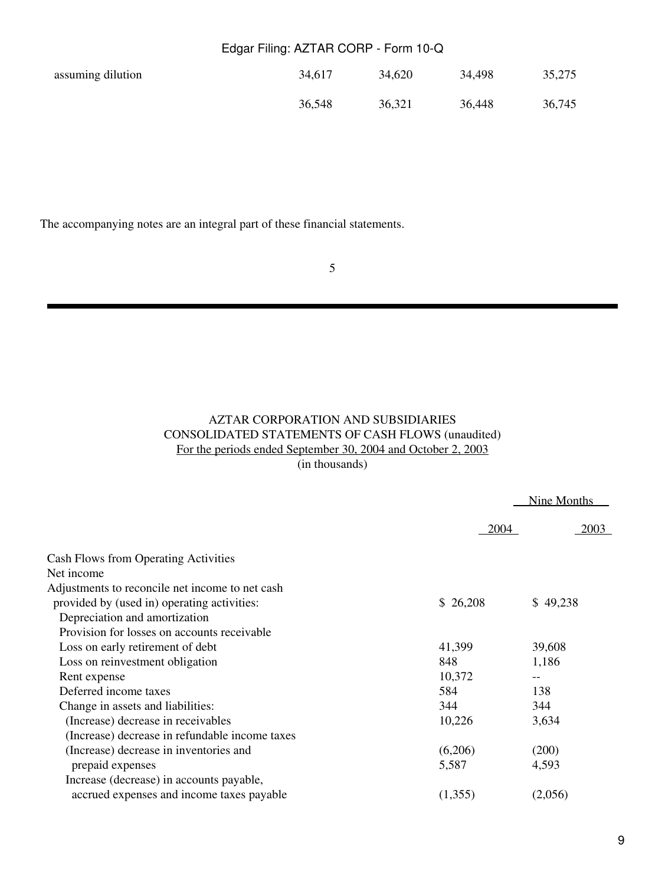| assuming dilution | 34,617 | 34,620 | 34,498 | 35,275 |
|-------------------|--------|--------|--------|--------|
|                   | 36,548 | 36,321 | 36,448 | 36,745 |

The accompanying notes are an integral part of these financial statements.

5

# AZTAR CORPORATION AND SUBSIDIARIES CONSOLIDATED STATEMENTS OF CASH FLOWS (unaudited) For the periods ended September 30, 2004 and October 2, 2003

(in thousands)

|                                                 |             | Nine Months |
|-------------------------------------------------|-------------|-------------|
|                                                 | <b>2004</b> | 2003        |
| <b>Cash Flows from Operating Activities</b>     |             |             |
| Net income                                      |             |             |
| Adjustments to reconcile net income to net cash |             |             |
| provided by (used in) operating activities:     | \$26,208    | \$49,238    |
| Depreciation and amortization                   |             |             |
| Provision for losses on accounts receivable     |             |             |
| Loss on early retirement of debt                | 41,399      | 39,608      |
| Loss on reinvestment obligation                 | 848         | 1,186       |
| Rent expense                                    | 10,372      |             |
| Deferred income taxes                           | 584         | 138         |
| Change in assets and liabilities:               | 344         | 344         |
| (Increase) decrease in receivables              | 10,226      | 3,634       |
| (Increase) decrease in refundable income taxes  |             |             |
| (Increase) decrease in inventories and          | (6,206)     | (200)       |
| prepaid expenses                                | 5,587       | 4,593       |
| Increase (decrease) in accounts payable,        |             |             |
| accrued expenses and income taxes payable       | (1,355)     | (2,056)     |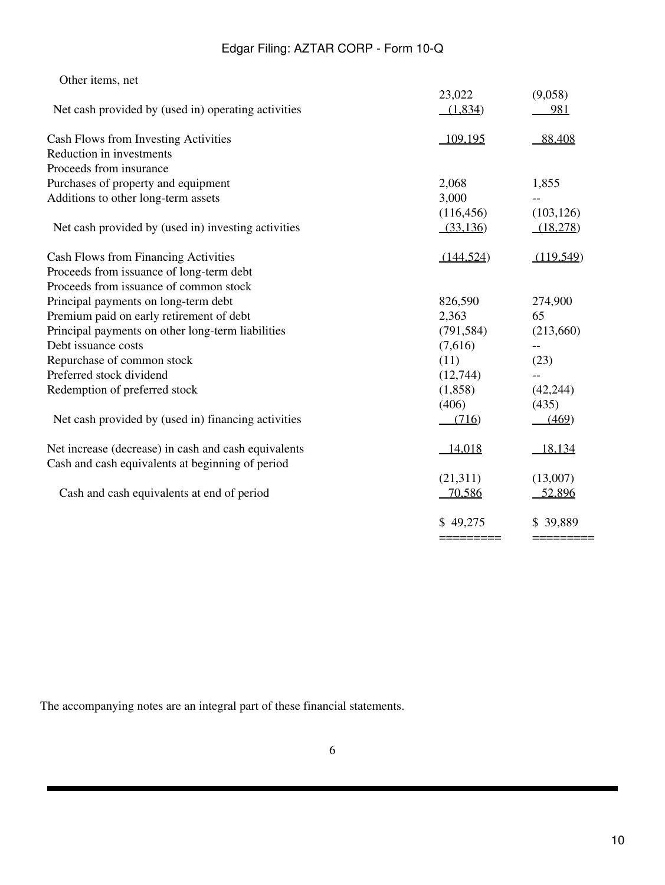| Other items, net                                     |                         |                        |
|------------------------------------------------------|-------------------------|------------------------|
|                                                      | 23,022                  | (9,058)                |
| Net cash provided by (used in) operating activities  | (1,834)                 | 981                    |
| Cash Flows from Investing Activities                 | 109,195                 | 88,408                 |
| Reduction in investments                             |                         |                        |
| Proceeds from insurance                              |                         |                        |
| Purchases of property and equipment                  | 2,068                   | 1,855                  |
| Additions to other long-term assets                  | 3,000                   |                        |
| Net cash provided by (used in) investing activities  | (116, 456)<br>(33, 136) | (103, 126)<br>(18,278) |
| Cash Flows from Financing Activities                 | (144, 524)              | (119,549)              |
| Proceeds from issuance of long-term debt             |                         |                        |
| Proceeds from issuance of common stock               |                         |                        |
| Principal payments on long-term debt                 | 826,590                 | 274,900                |
| Premium paid on early retirement of debt             | 2,363                   | 65                     |
| Principal payments on other long-term liabilities    | (791, 584)              | (213,660)              |
| Debt issuance costs                                  | (7,616)                 | $-$                    |
| Repurchase of common stock                           | (11)                    | (23)                   |
| Preferred stock dividend                             | (12,744)                | $-$                    |
| Redemption of preferred stock                        | (1,858)                 | (42, 244)              |
|                                                      | (406)                   | (435)                  |
| Net cash provided by (used in) financing activities  | (716)                   | (469)                  |
| Net increase (decrease) in cash and cash equivalents | 14,018                  | 18,134                 |
| Cash and cash equivalents at beginning of period     |                         |                        |
|                                                      | (21,311)                | (13,007)               |
| Cash and cash equivalents at end of period           | 70,586                  | 52,896                 |
|                                                      | \$49,275                | \$39,889               |
|                                                      | =========               | =========              |

The accompanying notes are an integral part of these financial statements.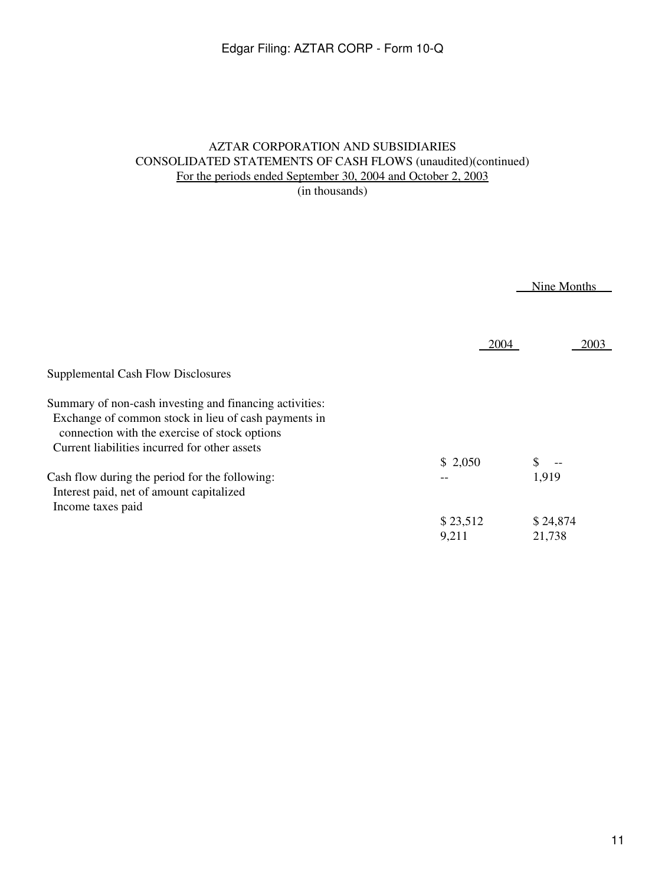# AZTAR CORPORATION AND SUBSIDIARIES CONSOLIDATED STATEMENTS OF CASH FLOWS (unaudited)(continued) For the periods ended September 30, 2004 and October 2, 2003

(in thousands)

 Nine Months Supplemental Cash Flow Disclosures Summary of non-cash investing and financing activities: Exchange of common stock in lieu of cash payments in connection with the exercise of stock options Current liabilities incurred for other assets Cash flow during the period for the following: Interest paid, net of amount capitalized Income taxes paid 2004 \$ 2,050 -- \$ 23,512 9,211 2003  $\upbeta$  --1,919 \$ 24,874 21,738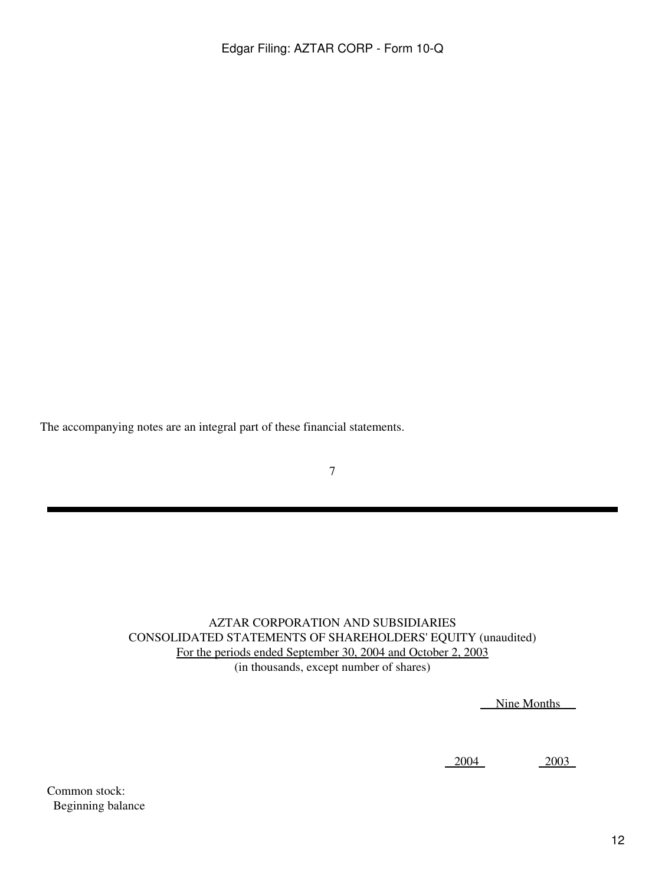The accompanying notes are an integral part of these financial statements.

7

AZTAR CORPORATION AND SUBSIDIARIES CONSOLIDATED STATEMENTS OF SHAREHOLDERS' EQUITY (unaudited) For the periods ended September 30, 2004 and October 2, 2003 (in thousands, except number of shares)

Nine Months

2004 2003

Common stock: Beginning balance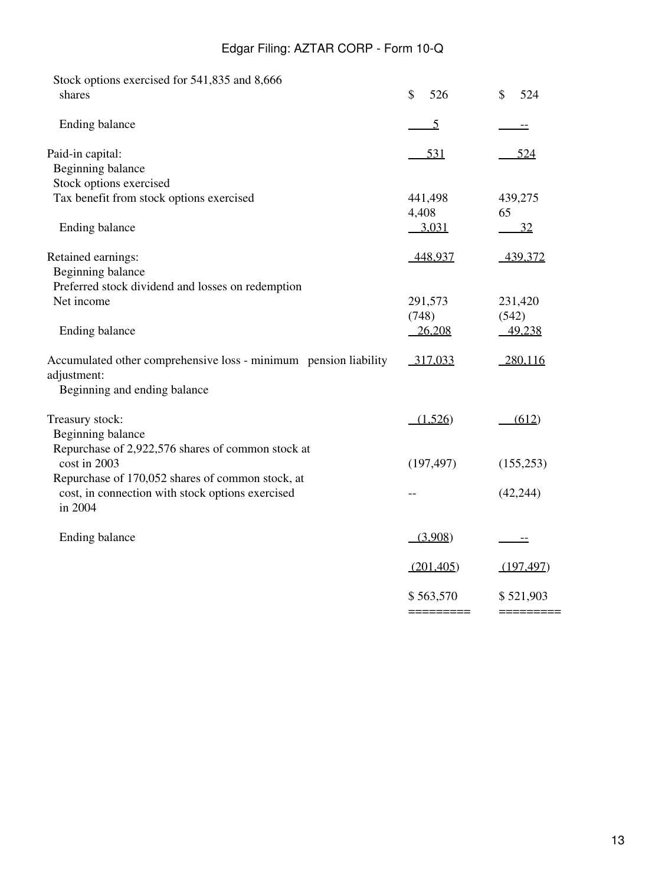| Stock options exercised for 541,835 and 8,666                                   |                  |               |
|---------------------------------------------------------------------------------|------------------|---------------|
| shares                                                                          | \$<br>526        | \$<br>524     |
| Ending balance                                                                  | $\overline{5}$   |               |
| Paid-in capital:                                                                | <u>531</u>       | 524           |
| Beginning balance                                                               |                  |               |
| Stock options exercised                                                         |                  |               |
| Tax benefit from stock options exercised                                        | 441,498<br>4,408 | 439,275<br>65 |
| Ending balance                                                                  | <u>3,031</u>     | <u>32</u>     |
| Retained earnings:                                                              | 448,937          | 439,372       |
| Beginning balance                                                               |                  |               |
| Preferred stock dividend and losses on redemption                               |                  |               |
| Net income                                                                      | 291,573          | 231,420       |
|                                                                                 | (748)            | (542)         |
| Ending balance                                                                  | 26,208           | 49,238        |
| Accumulated other comprehensive loss - minimum pension liability<br>adjustment: | 317,033          | 280,116       |
| Beginning and ending balance                                                    |                  |               |
| Treasury stock:                                                                 | (1,526)          | (612)         |
| Beginning balance                                                               |                  |               |
| Repurchase of 2,922,576 shares of common stock at                               |                  |               |
| cost in 2003                                                                    | (197, 497)       | (155, 253)    |
| Repurchase of 170,052 shares of common stock, at                                |                  |               |
| cost, in connection with stock options exercised<br>in 2004                     |                  | (42, 244)     |
|                                                                                 |                  |               |
| Ending balance                                                                  | (3,908)          |               |
|                                                                                 | (201, 405)       | (197, 497)    |
|                                                                                 | \$563,570        | \$521,903     |
|                                                                                 | =========        | =========     |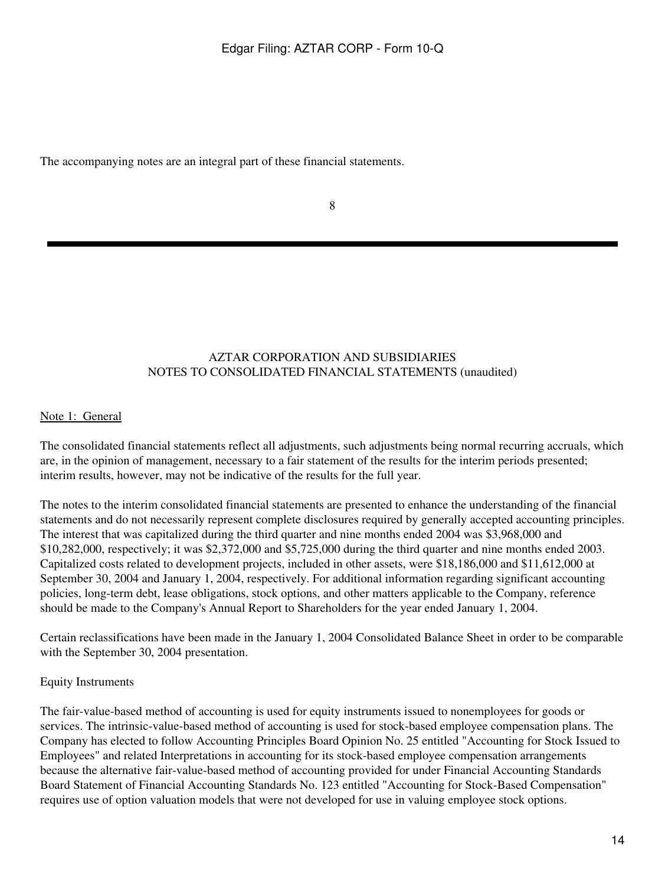The accompanying notes are an integral part of these financial statements.

8

# AZTAR CORPORATION AND SUBSIDIARIES NOTES TO CONSOLIDATED FINANCIAL STATEMENTS (unaudited)

### Note 1: General

The consolidated financial statements reflect all adjustments, such adjustments being normal recurring accruals, which are, in the opinion of management, necessary to a fair statement of the results for the interim periods presented; interim results, however, may not be indicative of the results for the full year.

The notes to the interim consolidated financial statements are presented to enhance the understanding of the financial statements and do not necessarily represent complete disclosures required by generally accepted accounting principles. The interest that was capitalized during the third quarter and nine months ended 2004 was \$3,968,000 and \$10,282,000, respectively; it was \$2,372,000 and \$5,725,000 during the third quarter and nine months ended 2003. Capitalized costs related to development projects, included in other assets, were \$18,186,000 and \$11,612,000 at September 30, 2004 and January 1, 2004, respectively. For additional information regarding significant accounting policies, long-term debt, lease obligations, stock options, and other matters applicable to the Company, reference should be made to the Company's Annual Report to Shareholders for the year ended January 1, 2004.

Certain reclassifications have been made in the January 1, 2004 Consolidated Balance Sheet in order to be comparable with the September 30, 2004 presentation.

# Equity Instruments

The fair-value-based method of accounting is used for equity instruments issued to nonemployees for goods or services. The intrinsic-value-based method of accounting is used for stock-based employee compensation plans. The Company has elected to follow Accounting Principles Board Opinion No. 25 entitled "Accounting for Stock Issued to Employees" and related Interpretations in accounting for its stock-based employee compensation arrangements because the alternative fair-value-based method of accounting provided for under Financial Accounting Standards Board Statement of Financial Accounting Standards No. 123 entitled "Accounting for Stock-Based Compensation" requires use of option valuation models that were not developed for use in valuing employee stock options.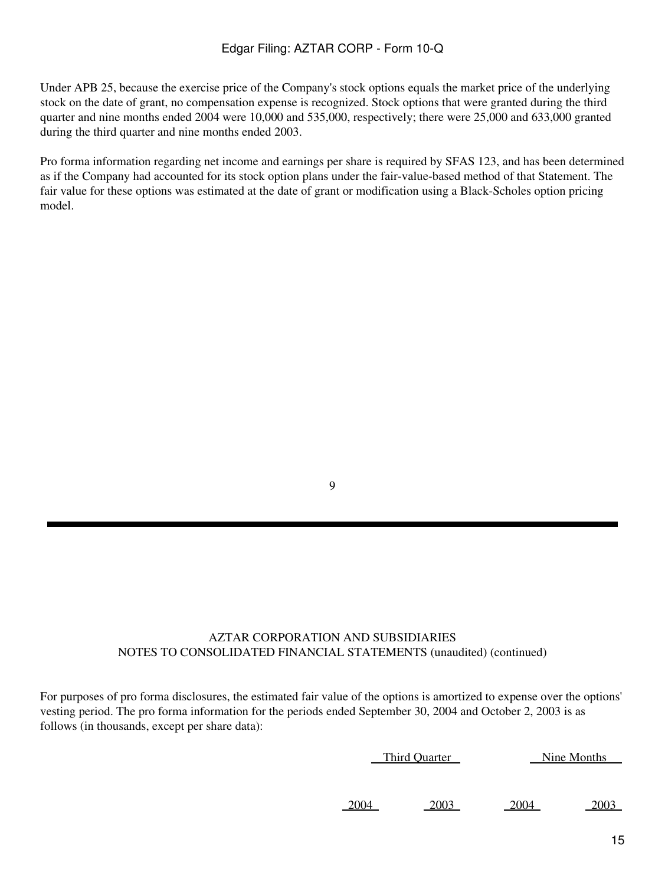Under APB 25, because the exercise price of the Company's stock options equals the market price of the underlying stock on the date of grant, no compensation expense is recognized. Stock options that were granted during the third quarter and nine months ended 2004 were 10,000 and 535,000, respectively; there were 25,000 and 633,000 granted during the third quarter and nine months ended 2003.

Pro forma information regarding net income and earnings per share is required by SFAS 123, and has been determined as if the Company had accounted for its stock option plans under the fair-value-based method of that Statement. The fair value for these options was estimated at the date of grant or modification using a Black-Scholes option pricing model.

9

# AZTAR CORPORATION AND SUBSIDIARIES NOTES TO CONSOLIDATED FINANCIAL STATEMENTS (unaudited) (continued)

For purposes of pro forma disclosures, the estimated fair value of the options is amortized to expense over the options' vesting period. The pro forma information for the periods ended September 30, 2004 and October 2, 2003 is as follows (in thousands, except per share data):

| Third Quarter | Nine Months |
|---------------|-------------|
|               |             |
|               |             |
|               |             |

2004 2003 2004 2003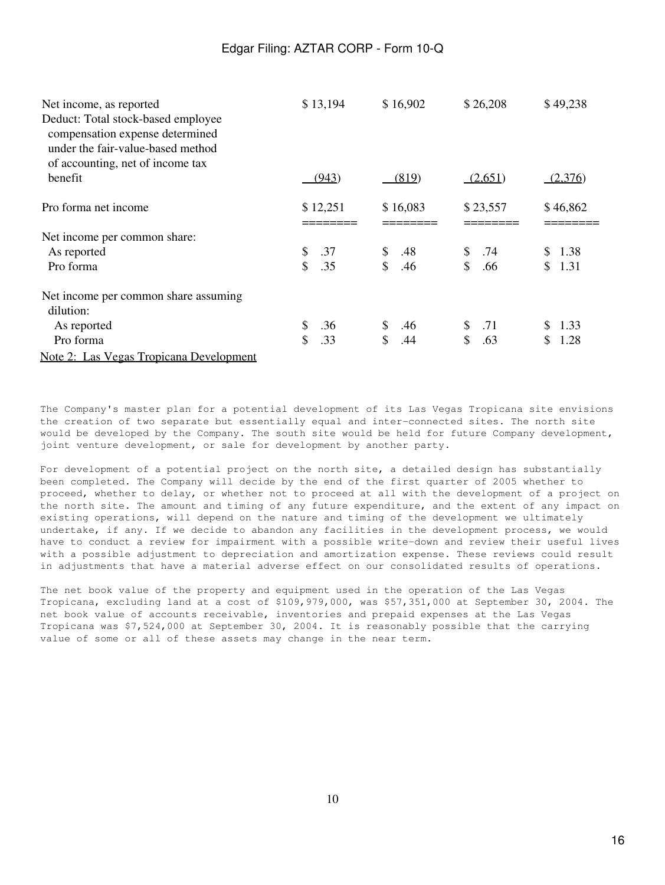| Net income, as reported<br>Deduct: Total stock-based employee<br>compensation expense determined<br>under the fair-value-based method<br>of accounting, net of income tax | \$13,194                  | \$16,902             | \$26,208  | \$49,238   |
|---------------------------------------------------------------------------------------------------------------------------------------------------------------------------|---------------------------|----------------------|-----------|------------|
| benefit                                                                                                                                                                   | (943)                     | (819)                | (2,651)   | (2,376)    |
| Pro forma net income                                                                                                                                                      | \$12,251                  | \$16,083             | \$23,557  | \$46,862   |
| Net income per common share:                                                                                                                                              |                           |                      |           |            |
| As reported                                                                                                                                                               | \$<br>.37                 | \$<br>.48            | .74<br>\$ | \$1.38     |
| Pro forma                                                                                                                                                                 | $\mathbf{\hat{S}}$<br>.35 | $\mathcal{S}$<br>.46 | \$<br>.66 | \$<br>1.31 |
| Net income per common share assuming<br>dilution:                                                                                                                         |                           |                      |           |            |
| As reported                                                                                                                                                               | \$<br>.36                 | \$<br>.46            | .71<br>S. | \$<br>1.33 |
| Pro forma                                                                                                                                                                 | \$<br>.33                 | \$<br>.44            | \$<br>.63 | \$<br>1.28 |
| Note 2: Las Vegas Tropicana Development                                                                                                                                   |                           |                      |           |            |

The Company's master plan for a potential development of its Las Vegas Tropicana site envisions the creation of two separate but essentially equal and inter-connected sites. The north site would be developed by the Company. The south site would be held for future Company development, joint venture development, or sale for development by another party.

For development of a potential project on the north site, a detailed design has substantially been completed. The Company will decide by the end of the first quarter of 2005 whether to proceed, whether to delay, or whether not to proceed at all with the development of a project on the north site. The amount and timing of any future expenditure, and the extent of any impact on existing operations, will depend on the nature and timing of the development we ultimately undertake, if any. If we decide to abandon any facilities in the development process, we would have to conduct a review for impairment with a possible write-down and review their useful lives with a possible adjustment to depreciation and amortization expense. These reviews could result in adjustments that have a material adverse effect on our consolidated results of operations.

The net book value of the property and equipment used in the operation of the Las Vegas Tropicana, excluding land at a cost of \$109,979,000, was \$57,351,000 at September 30, 2004. The net book value of accounts receivable, inventories and prepaid expenses at the Las Vegas Tropicana was \$7,524,000 at September 30, 2004. It is reasonably possible that the carrying value of some or all of these assets may change in the near term.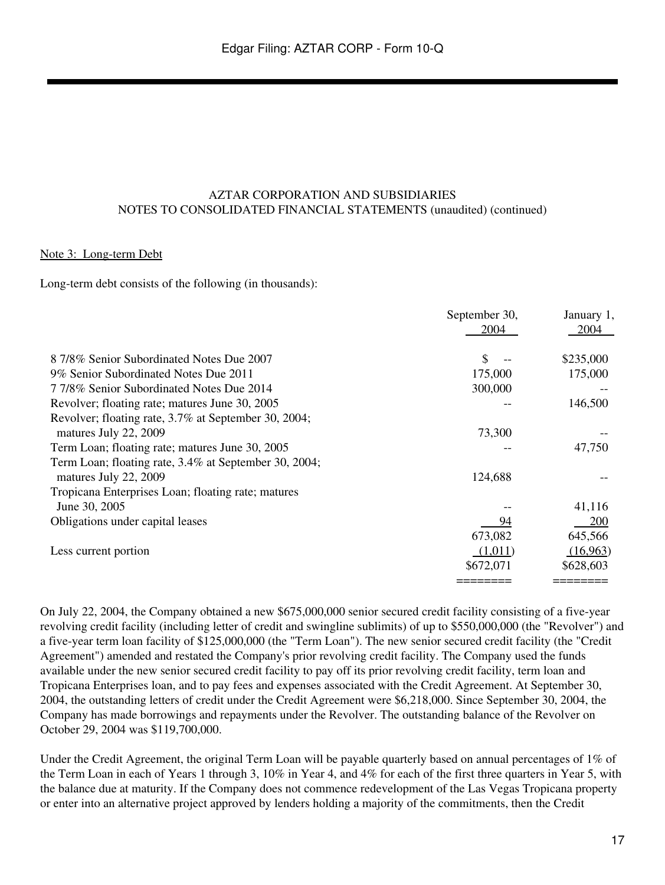#### AZTAR CORPORATION AND SUBSIDIARIES NOTES TO CONSOLIDATED FINANCIAL STATEMENTS (unaudited) (continued)

#### Note 3: Long-term Debt

Long-term debt consists of the following (in thousands):

|                                                       | September 30, | January 1, |
|-------------------------------------------------------|---------------|------------|
|                                                       | 2004          | 2004       |
| 8 7/8% Senior Subordinated Notes Due 2007             | \$            | \$235,000  |
| 9% Senior Subordinated Notes Due 2011                 | 175,000       | 175,000    |
| 7 7/8% Senior Subordinated Notes Due 2014             | 300,000       |            |
| Revolver; floating rate; matures June 30, 2005        |               | 146,500    |
| Revolver; floating rate, 3.7% at September 30, 2004;  |               |            |
| matures July 22, 2009                                 | 73,300        |            |
| Term Loan; floating rate; matures June 30, 2005       |               | 47,750     |
| Term Loan; floating rate, 3.4% at September 30, 2004; |               |            |
| matures July 22, 2009                                 | 124,688       |            |
| Tropicana Enterprises Loan; floating rate; matures    |               |            |
| June 30, 2005                                         |               | 41,116     |
| Obligations under capital leases                      | 94            | 200        |
|                                                       | 673,082       | 645,566    |
| Less current portion                                  | (1,011)       | (16,963)   |
|                                                       | \$672,071     | \$628,603  |
|                                                       |               |            |

On July 22, 2004, the Company obtained a new \$675,000,000 senior secured credit facility consisting of a five-year revolving credit facility (including letter of credit and swingline sublimits) of up to \$550,000,000 (the "Revolver") and a five-year term loan facility of \$125,000,000 (the "Term Loan"). The new senior secured credit facility (the "Credit Agreement") amended and restated the Company's prior revolving credit facility. The Company used the funds available under the new senior secured credit facility to pay off its prior revolving credit facility, term loan and Tropicana Enterprises loan, and to pay fees and expenses associated with the Credit Agreement. At September 30, 2004, the outstanding letters of credit under the Credit Agreement were \$6,218,000. Since September 30, 2004, the Company has made borrowings and repayments under the Revolver. The outstanding balance of the Revolver on October 29, 2004 was \$119,700,000.

Under the Credit Agreement, the original Term Loan will be payable quarterly based on annual percentages of 1% of the Term Loan in each of Years 1 through 3, 10% in Year 4, and 4% for each of the first three quarters in Year 5, with the balance due at maturity. If the Company does not commence redevelopment of the Las Vegas Tropicana property or enter into an alternative project approved by lenders holding a majority of the commitments, then the Credit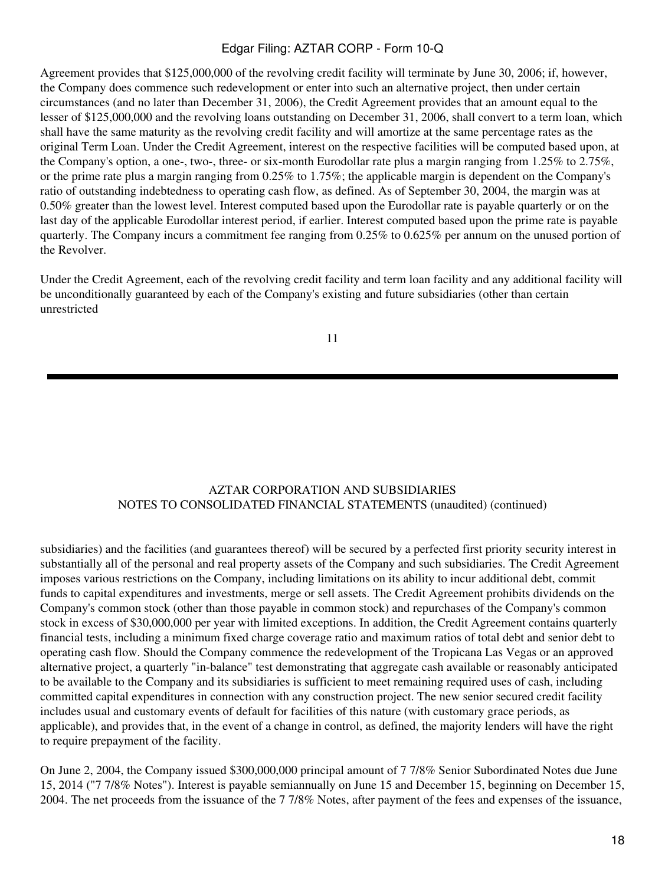Agreement provides that \$125,000,000 of the revolving credit facility will terminate by June 30, 2006; if, however, the Company does commence such redevelopment or enter into such an alternative project, then under certain circumstances (and no later than December 31, 2006), the Credit Agreement provides that an amount equal to the lesser of \$125,000,000 and the revolving loans outstanding on December 31, 2006, shall convert to a term loan, which shall have the same maturity as the revolving credit facility and will amortize at the same percentage rates as the original Term Loan. Under the Credit Agreement, interest on the respective facilities will be computed based upon, at the Company's option, a one-, two-, three- or six-month Eurodollar rate plus a margin ranging from 1.25% to 2.75%, or the prime rate plus a margin ranging from 0.25% to 1.75%; the applicable margin is dependent on the Company's ratio of outstanding indebtedness to operating cash flow, as defined. As of September 30, 2004, the margin was at 0.50% greater than the lowest level. Interest computed based upon the Eurodollar rate is payable quarterly or on the last day of the applicable Eurodollar interest period, if earlier. Interest computed based upon the prime rate is payable quarterly. The Company incurs a commitment fee ranging from 0.25% to 0.625% per annum on the unused portion of the Revolver.

Under the Credit Agreement, each of the revolving credit facility and term loan facility and any additional facility will be unconditionally guaranteed by each of the Company's existing and future subsidiaries (other than certain unrestricted

11

# AZTAR CORPORATION AND SUBSIDIARIES NOTES TO CONSOLIDATED FINANCIAL STATEMENTS (unaudited) (continued)

subsidiaries) and the facilities (and guarantees thereof) will be secured by a perfected first priority security interest in substantially all of the personal and real property assets of the Company and such subsidiaries. The Credit Agreement imposes various restrictions on the Company, including limitations on its ability to incur additional debt, commit funds to capital expenditures and investments, merge or sell assets. The Credit Agreement prohibits dividends on the Company's common stock (other than those payable in common stock) and repurchases of the Company's common stock in excess of \$30,000,000 per year with limited exceptions. In addition, the Credit Agreement contains quarterly financial tests, including a minimum fixed charge coverage ratio and maximum ratios of total debt and senior debt to operating cash flow. Should the Company commence the redevelopment of the Tropicana Las Vegas or an approved alternative project, a quarterly "in-balance" test demonstrating that aggregate cash available or reasonably anticipated to be available to the Company and its subsidiaries is sufficient to meet remaining required uses of cash, including committed capital expenditures in connection with any construction project. The new senior secured credit facility includes usual and customary events of default for facilities of this nature (with customary grace periods, as applicable), and provides that, in the event of a change in control, as defined, the majority lenders will have the right to require prepayment of the facility.

On June 2, 2004, the Company issued \$300,000,000 principal amount of 7 7/8% Senior Subordinated Notes due June 15, 2014 ("7 7/8% Notes"). Interest is payable semiannually on June 15 and December 15, beginning on December 15, 2004. The net proceeds from the issuance of the 7 7/8% Notes, after payment of the fees and expenses of the issuance,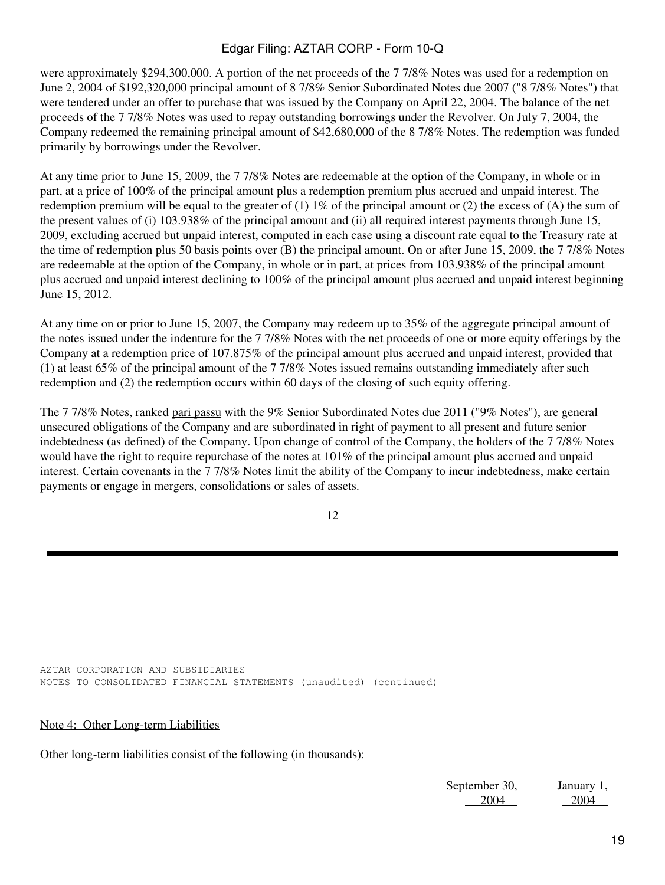were approximately \$294,300,000. A portion of the net proceeds of the 7 7/8% Notes was used for a redemption on June 2, 2004 of \$192,320,000 principal amount of 8 7/8% Senior Subordinated Notes due 2007 ("8 7/8% Notes") that were tendered under an offer to purchase that was issued by the Company on April 22, 2004. The balance of the net proceeds of the 7 7/8% Notes was used to repay outstanding borrowings under the Revolver. On July 7, 2004, the Company redeemed the remaining principal amount of \$42,680,000 of the 8 7/8% Notes. The redemption was funded primarily by borrowings under the Revolver.

At any time prior to June 15, 2009, the 7 7/8% Notes are redeemable at the option of the Company, in whole or in part, at a price of 100% of the principal amount plus a redemption premium plus accrued and unpaid interest. The redemption premium will be equal to the greater of (1)  $1\%$  of the principal amount or (2) the excess of (A) the sum of the present values of (i) 103.938% of the principal amount and (ii) all required interest payments through June 15, 2009, excluding accrued but unpaid interest, computed in each case using a discount rate equal to the Treasury rate at the time of redemption plus 50 basis points over (B) the principal amount. On or after June 15, 2009, the 7 7/8% Notes are redeemable at the option of the Company, in whole or in part, at prices from 103.938% of the principal amount plus accrued and unpaid interest declining to 100% of the principal amount plus accrued and unpaid interest beginning June 15, 2012.

At any time on or prior to June 15, 2007, the Company may redeem up to 35% of the aggregate principal amount of the notes issued under the indenture for the 7 7/8% Notes with the net proceeds of one or more equity offerings by the Company at a redemption price of 107.875% of the principal amount plus accrued and unpaid interest, provided that (1) at least 65% of the principal amount of the 7 7/8% Notes issued remains outstanding immediately after such redemption and (2) the redemption occurs within 60 days of the closing of such equity offering.

The 7 7/8% Notes, ranked pari passu with the 9% Senior Subordinated Notes due 2011 ("9% Notes"), are general unsecured obligations of the Company and are subordinated in right of payment to all present and future senior indebtedness (as defined) of the Company. Upon change of control of the Company, the holders of the 7 7/8% Notes would have the right to require repurchase of the notes at 101% of the principal amount plus accrued and unpaid interest. Certain covenants in the 7 7/8% Notes limit the ability of the Company to incur indebtedness, make certain payments or engage in mergers, consolidations or sales of assets.

12

AZTAR CORPORATION AND SUBSIDIARIES NOTES TO CONSOLIDATED FINANCIAL STATEMENTS (unaudited) (continued)

#### Note 4: Other Long-term Liabilities

Other long-term liabilities consist of the following (in thousands):

September 30, 2004 January 1, 2004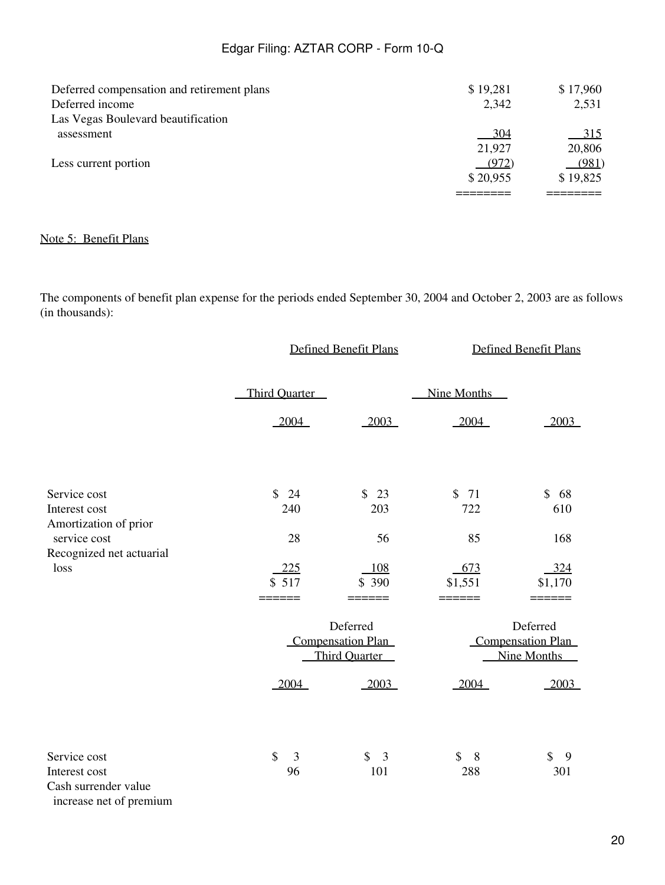| Deferred compensation and retirement plans | \$19,281 | \$17,960 |
|--------------------------------------------|----------|----------|
| Deferred income                            | 2,342    | 2,531    |
| Las Vegas Boulevard beautification         |          |          |
| assessment                                 | - 304    | $-315$   |
|                                            | 21,927   | 20,806   |
| Less current portion                       | (972)    | (981)    |
|                                            | \$20,955 | \$19,825 |
|                                            |          |          |

## Note 5: Benefit Plans

The components of benefit plan expense for the periods ended September 30, 2004 and October 2, 2003 are as follows (in thousands):

|                                                                                  |                       | Defined Benefit Plans                                        |                           | <b>Defined Benefit Plans</b>                               |
|----------------------------------------------------------------------------------|-----------------------|--------------------------------------------------------------|---------------------------|------------------------------------------------------------|
|                                                                                  | <b>Third Ouarter</b>  |                                                              | Nine Months               |                                                            |
|                                                                                  | 2004                  | 2003                                                         | $-2004$                   | 2003                                                       |
| Service cost<br>Interest cost                                                    | \$24<br>240           | \$ 23<br>203                                                 | $\mathbb{S}$<br>71<br>722 | $\mathbb{S}$<br>68<br>610                                  |
| Amortization of prior<br>service cost<br>Recognized net actuarial                | 28                    | 56                                                           | 85                        | 168                                                        |
| loss                                                                             | 225<br>\$517<br>===== | 108<br>\$390<br>====                                         | 673<br>\$1,551<br>======  | 324<br>\$1,170                                             |
|                                                                                  |                       | Deferred<br><b>Compensation Plan</b><br><b>Third Quarter</b> |                           | Deferred<br><b>Compensation Plan</b><br><b>Nine Months</b> |
|                                                                                  | 2004                  | 2003                                                         | 2004                      | 2003                                                       |
| Service cost<br>Interest cost<br>Cash surrender value<br>increase net of premium | \$<br>3<br>96         | \$<br>$\overline{3}$<br>101                                  | \$8<br>288                | \$<br>9<br>301                                             |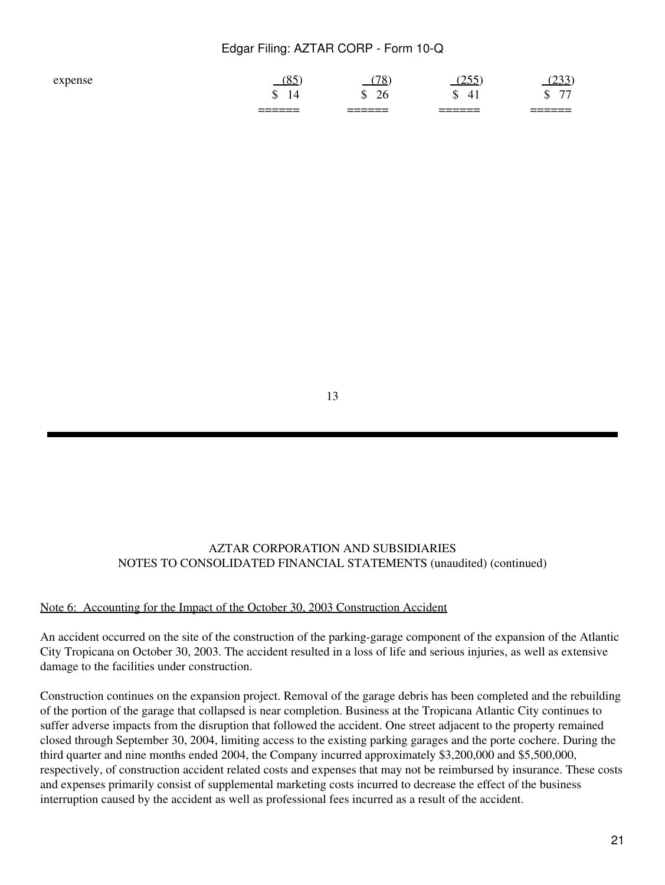|                    | _______<br>______          | _______<br>______ | _______<br>______                    | ______<br>______                     |
|--------------------|----------------------------|-------------------|--------------------------------------|--------------------------------------|
|                    | ۰D<br>. .                  | 26<br>œ<br>ш      | $\mathbf{4}^{\ast}$<br>ጦ<br>۰D<br>ті | $\overline{\phantom{a}}$<br>ጡ<br>ιIJ |
| $_{\alpha \rm vr}$ | $\sim$ $\sim$<br><u>v.</u> | $70^{\circ}$<br>О | $\sim$ $\sim$ $\sim$<br>ں کے ا       | <u>_</u>                             |

13

# AZTAR CORPORATION AND SUBSIDIARIES NOTES TO CONSOLIDATED FINANCIAL STATEMENTS (unaudited) (continued)

#### Note 6: Accounting for the Impact of the October 30, 2003 Construction Accident

An accident occurred on the site of the construction of the parking-garage component of the expansion of the Atlantic City Tropicana on October 30, 2003. The accident resulted in a loss of life and serious injuries, as well as extensive damage to the facilities under construction.

Construction continues on the expansion project. Removal of the garage debris has been completed and the rebuilding of the portion of the garage that collapsed is near completion. Business at the Tropicana Atlantic City continues to suffer adverse impacts from the disruption that followed the accident. One street adjacent to the property remained closed through September 30, 2004, limiting access to the existing parking garages and the porte cochere. During the third quarter and nine months ended 2004, the Company incurred approximately \$3,200,000 and \$5,500,000, respectively, of construction accident related costs and expenses that may not be reimbursed by insurance. These costs and expenses primarily consist of supplemental marketing costs incurred to decrease the effect of the business interruption caused by the accident as well as professional fees incurred as a result of the accident.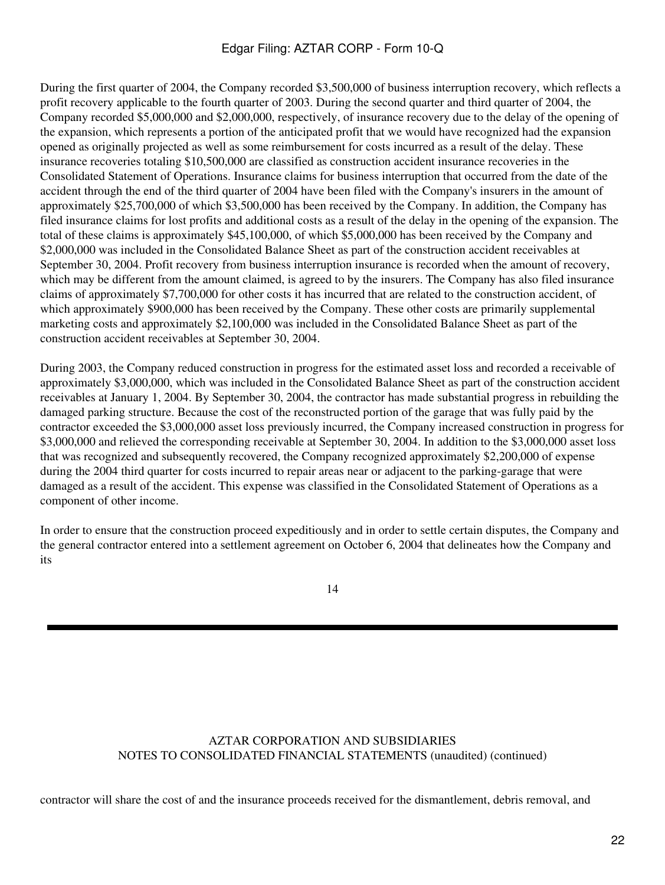During the first quarter of 2004, the Company recorded \$3,500,000 of business interruption recovery, which reflects a profit recovery applicable to the fourth quarter of 2003. During the second quarter and third quarter of 2004, the Company recorded \$5,000,000 and \$2,000,000, respectively, of insurance recovery due to the delay of the opening of the expansion, which represents a portion of the anticipated profit that we would have recognized had the expansion opened as originally projected as well as some reimbursement for costs incurred as a result of the delay. These insurance recoveries totaling \$10,500,000 are classified as construction accident insurance recoveries in the Consolidated Statement of Operations. Insurance claims for business interruption that occurred from the date of the accident through the end of the third quarter of 2004 have been filed with the Company's insurers in the amount of approximately \$25,700,000 of which \$3,500,000 has been received by the Company. In addition, the Company has filed insurance claims for lost profits and additional costs as a result of the delay in the opening of the expansion. The total of these claims is approximately \$45,100,000, of which \$5,000,000 has been received by the Company and \$2,000,000 was included in the Consolidated Balance Sheet as part of the construction accident receivables at September 30, 2004. Profit recovery from business interruption insurance is recorded when the amount of recovery, which may be different from the amount claimed, is agreed to by the insurers. The Company has also filed insurance claims of approximately \$7,700,000 for other costs it has incurred that are related to the construction accident, of which approximately \$900,000 has been received by the Company. These other costs are primarily supplemental marketing costs and approximately \$2,100,000 was included in the Consolidated Balance Sheet as part of the construction accident receivables at September 30, 2004.

During 2003, the Company reduced construction in progress for the estimated asset loss and recorded a receivable of approximately \$3,000,000, which was included in the Consolidated Balance Sheet as part of the construction accident receivables at January 1, 2004. By September 30, 2004, the contractor has made substantial progress in rebuilding the damaged parking structure. Because the cost of the reconstructed portion of the garage that was fully paid by the contractor exceeded the \$3,000,000 asset loss previously incurred, the Company increased construction in progress for \$3,000,000 and relieved the corresponding receivable at September 30, 2004. In addition to the \$3,000,000 asset loss that was recognized and subsequently recovered, the Company recognized approximately \$2,200,000 of expense during the 2004 third quarter for costs incurred to repair areas near or adjacent to the parking-garage that were damaged as a result of the accident. This expense was classified in the Consolidated Statement of Operations as a component of other income.

In order to ensure that the construction proceed expeditiously and in order to settle certain disputes, the Company and the general contractor entered into a settlement agreement on October 6, 2004 that delineates how the Company and its

14

# AZTAR CORPORATION AND SUBSIDIARIES NOTES TO CONSOLIDATED FINANCIAL STATEMENTS (unaudited) (continued)

contractor will share the cost of and the insurance proceeds received for the dismantlement, debris removal, and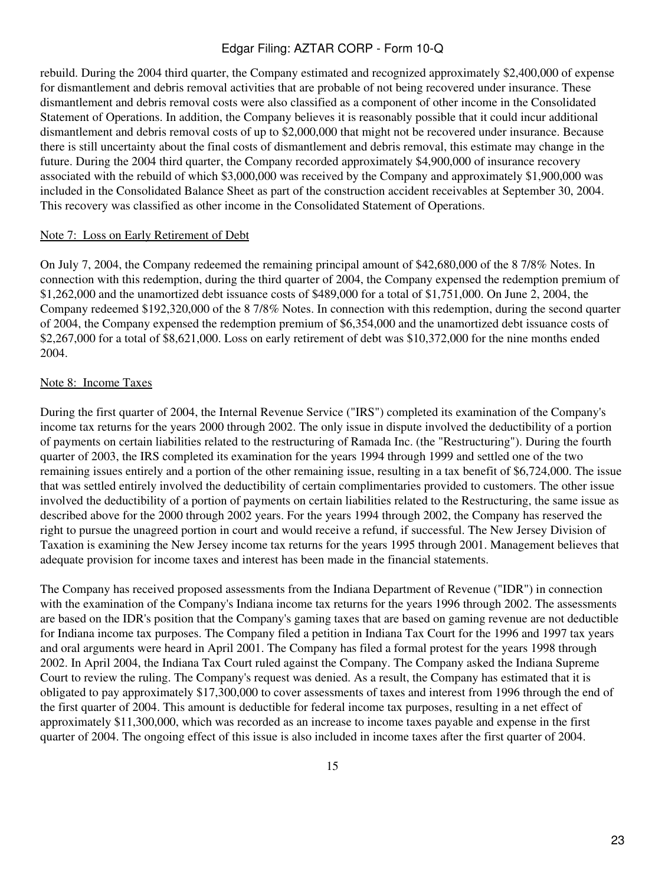rebuild. During the 2004 third quarter, the Company estimated and recognized approximately \$2,400,000 of expense for dismantlement and debris removal activities that are probable of not being recovered under insurance. These dismantlement and debris removal costs were also classified as a component of other income in the Consolidated Statement of Operations. In addition, the Company believes it is reasonably possible that it could incur additional dismantlement and debris removal costs of up to \$2,000,000 that might not be recovered under insurance. Because there is still uncertainty about the final costs of dismantlement and debris removal, this estimate may change in the future. During the 2004 third quarter, the Company recorded approximately \$4,900,000 of insurance recovery associated with the rebuild of which \$3,000,000 was received by the Company and approximately \$1,900,000 was included in the Consolidated Balance Sheet as part of the construction accident receivables at September 30, 2004. This recovery was classified as other income in the Consolidated Statement of Operations.

#### Note 7: Loss on Early Retirement of Debt

On July 7, 2004, the Company redeemed the remaining principal amount of \$42,680,000 of the 8 7/8% Notes. In connection with this redemption, during the third quarter of 2004, the Company expensed the redemption premium of \$1,262,000 and the unamortized debt issuance costs of \$489,000 for a total of \$1,751,000. On June 2, 2004, the Company redeemed \$192,320,000 of the 8 7/8% Notes. In connection with this redemption, during the second quarter of 2004, the Company expensed the redemption premium of \$6,354,000 and the unamortized debt issuance costs of \$2,267,000 for a total of \$8,621,000. Loss on early retirement of debt was \$10,372,000 for the nine months ended 2004.

#### Note 8: Income Taxes

During the first quarter of 2004, the Internal Revenue Service ("IRS") completed its examination of the Company's income tax returns for the years 2000 through 2002. The only issue in dispute involved the deductibility of a portion of payments on certain liabilities related to the restructuring of Ramada Inc. (the "Restructuring"). During the fourth quarter of 2003, the IRS completed its examination for the years 1994 through 1999 and settled one of the two remaining issues entirely and a portion of the other remaining issue, resulting in a tax benefit of \$6,724,000. The issue that was settled entirely involved the deductibility of certain complimentaries provided to customers. The other issue involved the deductibility of a portion of payments on certain liabilities related to the Restructuring, the same issue as described above for the 2000 through 2002 years. For the years 1994 through 2002, the Company has reserved the right to pursue the unagreed portion in court and would receive a refund, if successful. The New Jersey Division of Taxation is examining the New Jersey income tax returns for the years 1995 through 2001. Management believes that adequate provision for income taxes and interest has been made in the financial statements.

The Company has received proposed assessments from the Indiana Department of Revenue ("IDR") in connection with the examination of the Company's Indiana income tax returns for the years 1996 through 2002. The assessments are based on the IDR's position that the Company's gaming taxes that are based on gaming revenue are not deductible for Indiana income tax purposes. The Company filed a petition in Indiana Tax Court for the 1996 and 1997 tax years and oral arguments were heard in April 2001. The Company has filed a formal protest for the years 1998 through 2002. In April 2004, the Indiana Tax Court ruled against the Company. The Company asked the Indiana Supreme Court to review the ruling. The Company's request was denied. As a result, the Company has estimated that it is obligated to pay approximately \$17,300,000 to cover assessments of taxes and interest from 1996 through the end of the first quarter of 2004. This amount is deductible for federal income tax purposes, resulting in a net effect of approximately \$11,300,000, which was recorded as an increase to income taxes payable and expense in the first quarter of 2004. The ongoing effect of this issue is also included in income taxes after the first quarter of 2004.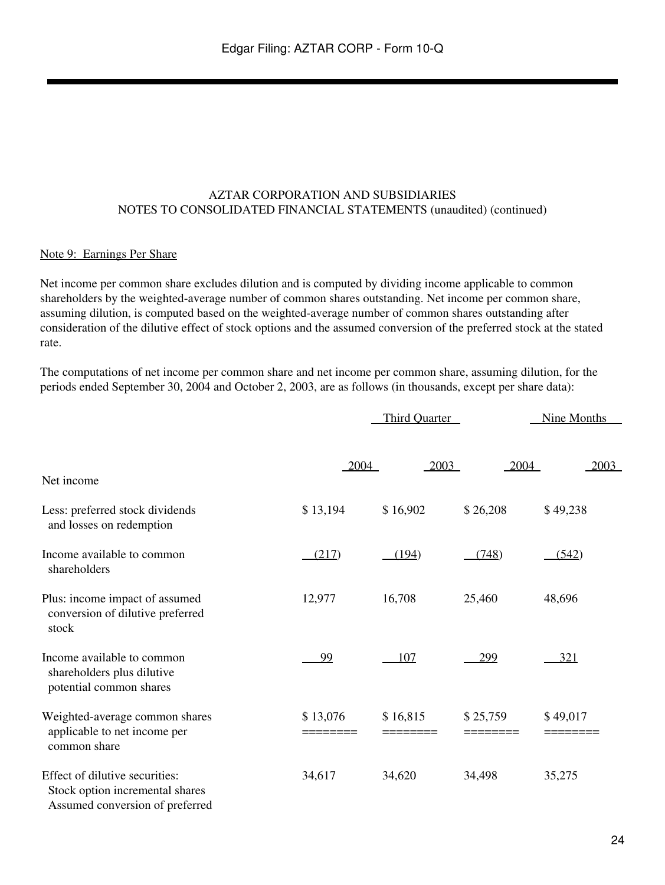### AZTAR CORPORATION AND SUBSIDIARIES NOTES TO CONSOLIDATED FINANCIAL STATEMENTS (unaudited) (continued)

#### Note 9: Earnings Per Share

Net income per common share excludes dilution and is computed by dividing income applicable to common shareholders by the weighted-average number of common shares outstanding. Net income per common share, assuming dilution, is computed based on the weighted-average number of common shares outstanding after consideration of the dilutive effect of stock options and the assumed conversion of the preferred stock at the stated rate.

The computations of net income per common share and net income per common share, assuming dilution, for the periods ended September 30, 2004 and October 2, 2003, are as follows (in thousands, except per share data):

|                                                                                                      |                      | <b>Third Ouarter</b> |                      | Nine Months          |
|------------------------------------------------------------------------------------------------------|----------------------|----------------------|----------------------|----------------------|
| Net income                                                                                           | 2004                 | 2003                 | 2004                 | 2003                 |
| Less: preferred stock dividends<br>and losses on redemption                                          | \$13,194             | \$16,902             | \$26,208             | \$49,238             |
| Income available to common<br>shareholders                                                           | (217)                | (194)                | (748)                | (542)                |
| Plus: income impact of assumed<br>conversion of dilutive preferred<br>stock                          | 12,977               | 16,708               | 25,460               | 48,696               |
| Income available to common<br>shareholders plus dilutive<br>potential common shares                  | 99                   | 107                  | 299                  | 321                  |
| Weighted-average common shares<br>applicable to net income per<br>common share                       | \$13,076<br>======== | \$16,815<br>======== | \$25,759<br>======== | \$49,017<br>======== |
| Effect of dilutive securities:<br>Stock option incremental shares<br>Assumed conversion of preferred | 34,617               | 34,620               | 34,498               | 35,275               |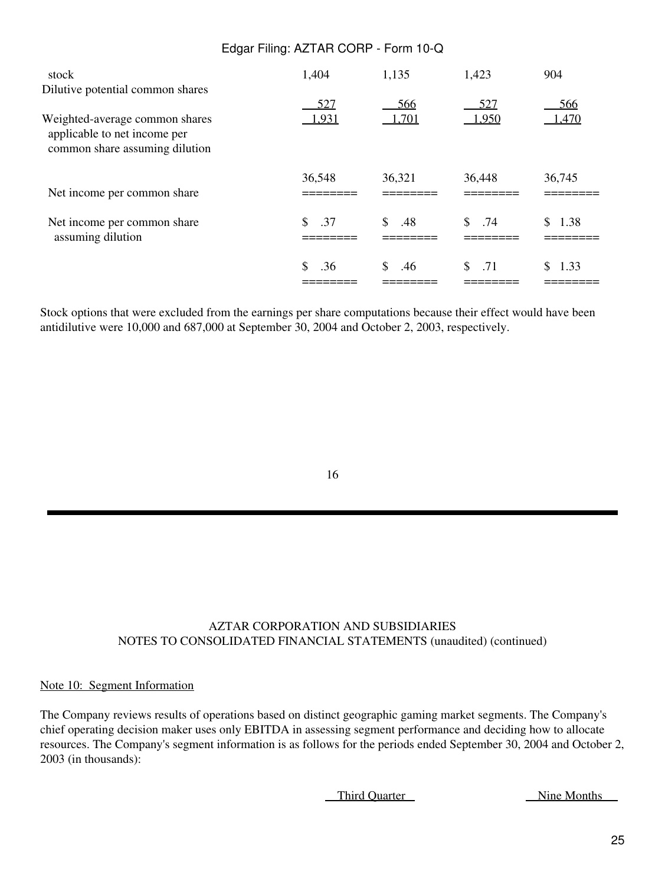| stock                                                                                            | 1,404  | 1,135     | 1,423     | 904        |
|--------------------------------------------------------------------------------------------------|--------|-----------|-----------|------------|
| Dilutive potential common shares                                                                 | 527    | 566       | 527       | 566        |
| Weighted-average common shares<br>applicable to net income per<br>common share assuming dilution | 1,931  | 1,701     | 1,950     | 1,470      |
| Net income per common share                                                                      | 36,548 | 36,321    | 36,448    | 36,745     |
| Net income per common share<br>assuming dilution                                                 | .37    | \$<br>.48 | \$<br>.74 | S.<br>1.38 |
|                                                                                                  | .36    | S.<br>.46 | \$.71     | S.<br>1.33 |

Stock options that were excluded from the earnings per share computations because their effect would have been antidilutive were 10,000 and 687,000 at September 30, 2004 and October 2, 2003, respectively.

### 16

### AZTAR CORPORATION AND SUBSIDIARIES NOTES TO CONSOLIDATED FINANCIAL STATEMENTS (unaudited) (continued)

#### Note 10: Segment Information

The Company reviews results of operations based on distinct geographic gaming market segments. The Company's chief operating decision maker uses only EBITDA in assessing segment performance and deciding how to allocate resources. The Company's segment information is as follows for the periods ended September 30, 2004 and October 2, 2003 (in thousands):

Third Quarter Nine Months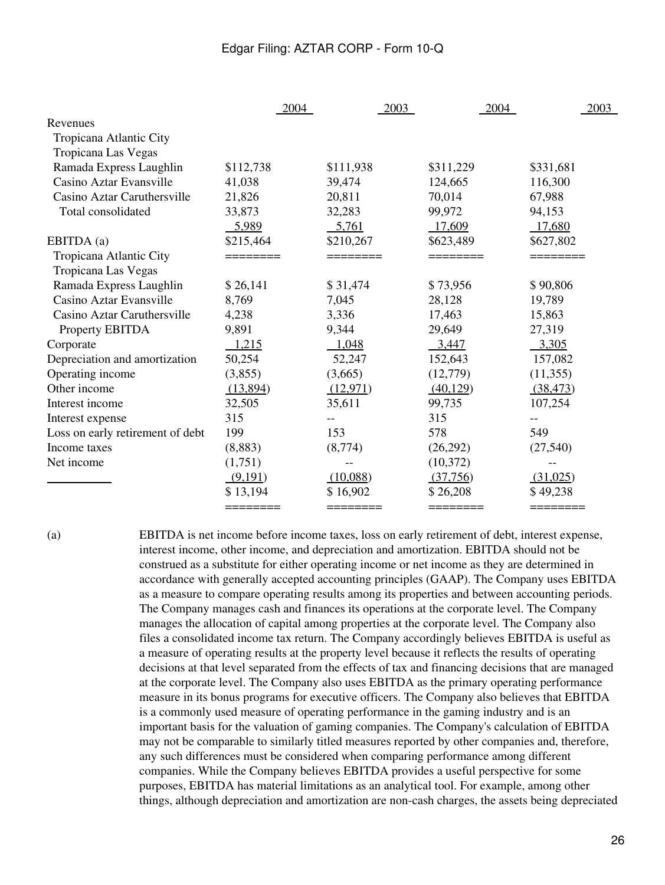|                                  | 2004        | 2003      | 2004      | 2003      |
|----------------------------------|-------------|-----------|-----------|-----------|
| Revenues                         |             |           |           |           |
| Tropicana Atlantic City          |             |           |           |           |
| Tropicana Las Vegas              |             |           |           |           |
| Ramada Express Laughlin          | \$112,738   | \$111,938 | \$311,229 | \$331,681 |
| Casino Aztar Evansville          | 41,038      | 39,474    | 124,665   | 116,300   |
| Casino Aztar Caruthersville      | 21,826      | 20,811    | 70,014    | 67,988    |
| Total consolidated               | 33,873      | 32,283    | 99,972    | 94,153    |
|                                  | 5,989       | 5,761     | 17,609    | 17,680    |
| EBITDA (a)                       | \$215,464   | \$210,267 | \$623,489 | \$627,802 |
| Tropicana Atlantic City          |             |           |           |           |
| Tropicana Las Vegas              |             |           |           |           |
| Ramada Express Laughlin          | \$26,141    | \$31,474  | \$73,956  | \$90,806  |
| Casino Aztar Evansville          | 8,769       | 7,045     | 28,128    | 19,789    |
| Casino Aztar Caruthersville      | 4,238       | 3,336     | 17,463    | 15,863    |
| Property EBITDA                  | 9,891       | 9,344     | 29,649    | 27,319    |
| Corporate                        | 1,215       | 1,048     | 3,447     | 3,305     |
| Depreciation and amortization    | 50,254      | 52,247    | 152,643   | 157,082   |
| Operating income                 | (3,855)     | (3,665)   | (12,779)  | (11,355)  |
| Other income                     | (13,894)    | (12, 971) | (40, 129) | (38, 473) |
| Interest income                  | 32,505      | 35,611    | 99,735    | 107,254   |
| Interest expense                 | 315         | $-$       | 315       | --        |
| Loss on early retirement of debt | 199         | 153       | 578       | 549       |
| Income taxes                     | (8,883)     | (8,774)   | (26,292)  | (27, 540) |
| Net income                       | (1,751)     |           | (10, 372) |           |
|                                  | (9,191)     | (10,088)  | (37,756)  | (31,025)  |
|                                  | \$13,194    | \$16,902  | \$26,208  | \$49,238  |
|                                  | $=$ ======= | ========  | ========  | ========  |

(a) EBITDA is net income before income taxes, loss on early retirement of debt, interest expense, interest income, other income, and depreciation and amortization. EBITDA should not be construed as a substitute for either operating income or net income as they are determined in accordance with generally accepted accounting principles (GAAP). The Company uses EBITDA as a measure to compare operating results among its properties and between accounting periods. The Company manages cash and finances its operations at the corporate level. The Company manages the allocation of capital among properties at the corporate level. The Company also files a consolidated income tax return. The Company accordingly believes EBITDA is useful as a measure of operating results at the property level because it reflects the results of operating decisions at that level separated from the effects of tax and financing decisions that are managed at the corporate level. The Company also uses EBITDA as the primary operating performance measure in its bonus programs for executive officers. The Company also believes that EBITDA is a commonly used measure of operating performance in the gaming industry and is an important basis for the valuation of gaming companies. The Company's calculation of EBITDA may not be comparable to similarly titled measures reported by other companies and, therefore, any such differences must be considered when comparing performance among different companies. While the Company believes EBITDA provides a useful perspective for some purposes, EBITDA has material limitations as an analytical tool. For example, among other things, although depreciation and amortization are non-cash charges, the assets being depreciated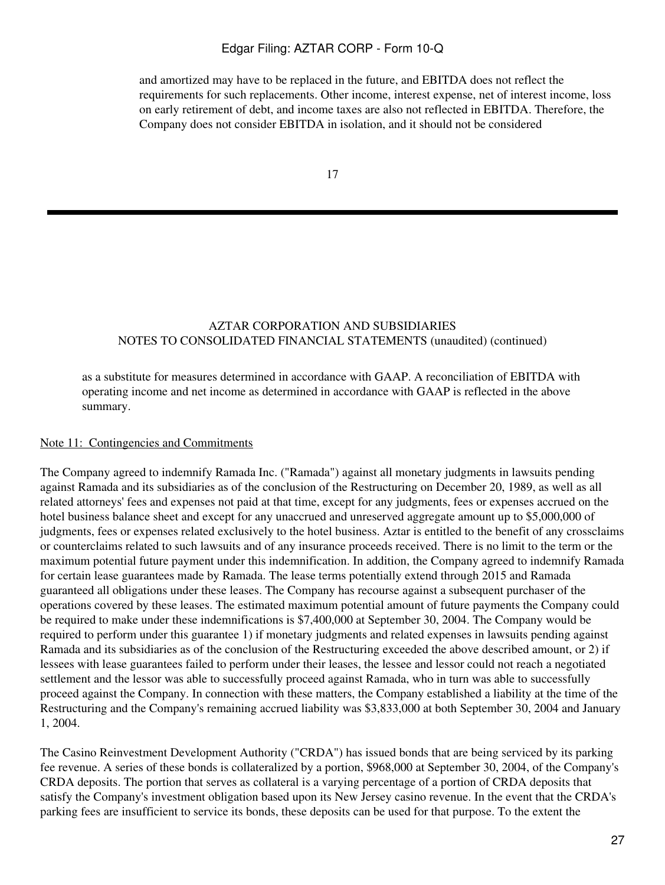and amortized may have to be replaced in the future, and EBITDA does not reflect the requirements for such replacements. Other income, interest expense, net of interest income, loss on early retirement of debt, and income taxes are also not reflected in EBITDA. Therefore, the Company does not consider EBITDA in isolation, and it should not be considered

17

### AZTAR CORPORATION AND SUBSIDIARIES NOTES TO CONSOLIDATED FINANCIAL STATEMENTS (unaudited) (continued)

as a substitute for measures determined in accordance with GAAP. A reconciliation of EBITDA with operating income and net income as determined in accordance with GAAP is reflected in the above summary.

#### Note 11: Contingencies and Commitments

The Company agreed to indemnify Ramada Inc. ("Ramada") against all monetary judgments in lawsuits pending against Ramada and its subsidiaries as of the conclusion of the Restructuring on December 20, 1989, as well as all related attorneys' fees and expenses not paid at that time, except for any judgments, fees or expenses accrued on the hotel business balance sheet and except for any unaccrued and unreserved aggregate amount up to \$5,000,000 of judgments, fees or expenses related exclusively to the hotel business. Aztar is entitled to the benefit of any crossclaims or counterclaims related to such lawsuits and of any insurance proceeds received. There is no limit to the term or the maximum potential future payment under this indemnification. In addition, the Company agreed to indemnify Ramada for certain lease guarantees made by Ramada. The lease terms potentially extend through 2015 and Ramada guaranteed all obligations under these leases. The Company has recourse against a subsequent purchaser of the operations covered by these leases. The estimated maximum potential amount of future payments the Company could be required to make under these indemnifications is \$7,400,000 at September 30, 2004. The Company would be required to perform under this guarantee 1) if monetary judgments and related expenses in lawsuits pending against Ramada and its subsidiaries as of the conclusion of the Restructuring exceeded the above described amount, or 2) if lessees with lease guarantees failed to perform under their leases, the lessee and lessor could not reach a negotiated settlement and the lessor was able to successfully proceed against Ramada, who in turn was able to successfully proceed against the Company. In connection with these matters, the Company established a liability at the time of the Restructuring and the Company's remaining accrued liability was \$3,833,000 at both September 30, 2004 and January 1, 2004.

The Casino Reinvestment Development Authority ("CRDA") has issued bonds that are being serviced by its parking fee revenue. A series of these bonds is collateralized by a portion, \$968,000 at September 30, 2004, of the Company's CRDA deposits. The portion that serves as collateral is a varying percentage of a portion of CRDA deposits that satisfy the Company's investment obligation based upon its New Jersey casino revenue. In the event that the CRDA's parking fees are insufficient to service its bonds, these deposits can be used for that purpose. To the extent the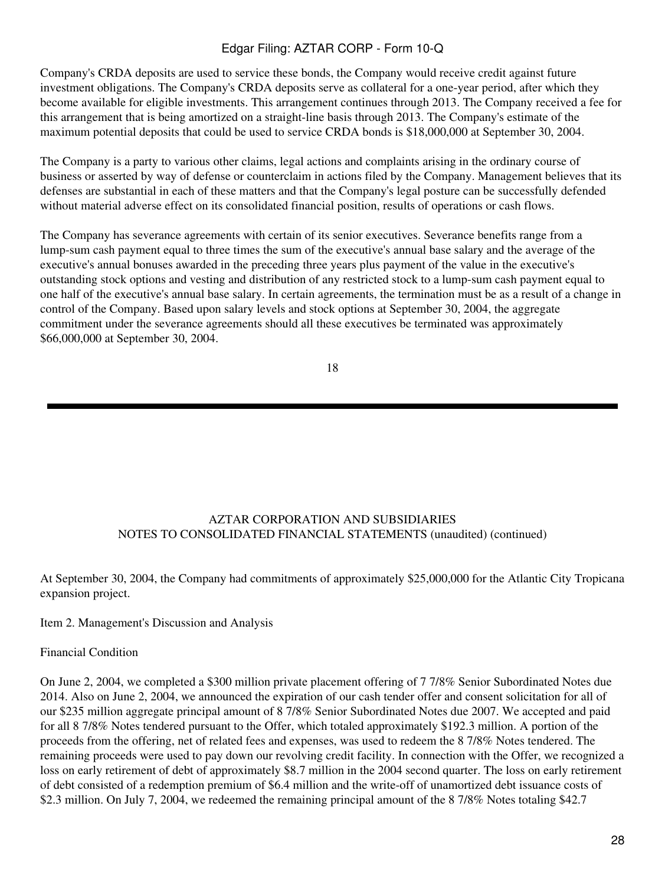Company's CRDA deposits are used to service these bonds, the Company would receive credit against future investment obligations. The Company's CRDA deposits serve as collateral for a one-year period, after which they become available for eligible investments. This arrangement continues through 2013. The Company received a fee for this arrangement that is being amortized on a straight-line basis through 2013. The Company's estimate of the maximum potential deposits that could be used to service CRDA bonds is \$18,000,000 at September 30, 2004.

The Company is a party to various other claims, legal actions and complaints arising in the ordinary course of business or asserted by way of defense or counterclaim in actions filed by the Company. Management believes that its defenses are substantial in each of these matters and that the Company's legal posture can be successfully defended without material adverse effect on its consolidated financial position, results of operations or cash flows.

The Company has severance agreements with certain of its senior executives. Severance benefits range from a lump-sum cash payment equal to three times the sum of the executive's annual base salary and the average of the executive's annual bonuses awarded in the preceding three years plus payment of the value in the executive's outstanding stock options and vesting and distribution of any restricted stock to a lump-sum cash payment equal to one half of the executive's annual base salary. In certain agreements, the termination must be as a result of a change in control of the Company. Based upon salary levels and stock options at September 30, 2004, the aggregate commitment under the severance agreements should all these executives be terminated was approximately \$66,000,000 at September 30, 2004.

18

# AZTAR CORPORATION AND SUBSIDIARIES NOTES TO CONSOLIDATED FINANCIAL STATEMENTS (unaudited) (continued)

At September 30, 2004, the Company had commitments of approximately \$25,000,000 for the Atlantic City Tropicana expansion project.

# Item 2. Management's Discussion and Analysis

#### Financial Condition

On June 2, 2004, we completed a \$300 million private placement offering of 7 7/8% Senior Subordinated Notes due 2014. Also on June 2, 2004, we announced the expiration of our cash tender offer and consent solicitation for all of our \$235 million aggregate principal amount of 8 7/8% Senior Subordinated Notes due 2007. We accepted and paid for all 8 7/8% Notes tendered pursuant to the Offer, which totaled approximately \$192.3 million. A portion of the proceeds from the offering, net of related fees and expenses, was used to redeem the 8 7/8% Notes tendered. The remaining proceeds were used to pay down our revolving credit facility. In connection with the Offer, we recognized a loss on early retirement of debt of approximately \$8.7 million in the 2004 second quarter. The loss on early retirement of debt consisted of a redemption premium of \$6.4 million and the write-off of unamortized debt issuance costs of \$2.3 million. On July 7, 2004, we redeemed the remaining principal amount of the 8 7/8% Notes totaling \$42.7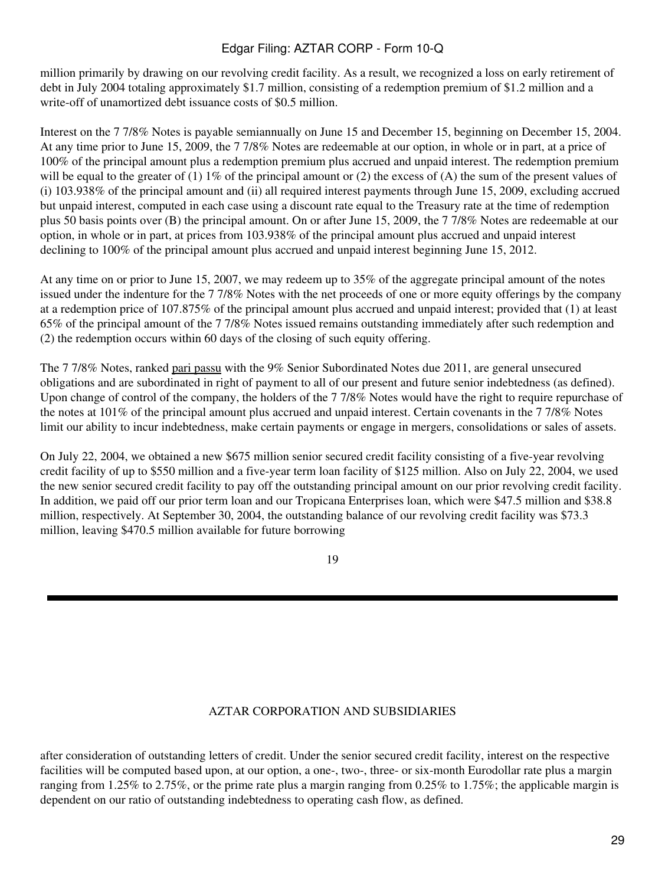million primarily by drawing on our revolving credit facility. As a result, we recognized a loss on early retirement of debt in July 2004 totaling approximately \$1.7 million, consisting of a redemption premium of \$1.2 million and a write-off of unamortized debt issuance costs of \$0.5 million.

Interest on the 7 7/8% Notes is payable semiannually on June 15 and December 15, beginning on December 15, 2004. At any time prior to June 15, 2009, the 7 7/8% Notes are redeemable at our option, in whole or in part, at a price of 100% of the principal amount plus a redemption premium plus accrued and unpaid interest. The redemption premium will be equal to the greater of (1)  $1\%$  of the principal amount or (2) the excess of (A) the sum of the present values of (i) 103.938% of the principal amount and (ii) all required interest payments through June 15, 2009, excluding accrued but unpaid interest, computed in each case using a discount rate equal to the Treasury rate at the time of redemption plus 50 basis points over (B) the principal amount. On or after June 15, 2009, the 7 7/8% Notes are redeemable at our option, in whole or in part, at prices from 103.938% of the principal amount plus accrued and unpaid interest declining to 100% of the principal amount plus accrued and unpaid interest beginning June 15, 2012.

At any time on or prior to June 15, 2007, we may redeem up to 35% of the aggregate principal amount of the notes issued under the indenture for the 7 7/8% Notes with the net proceeds of one or more equity offerings by the company at a redemption price of 107.875% of the principal amount plus accrued and unpaid interest; provided that (1) at least 65% of the principal amount of the 7 7/8% Notes issued remains outstanding immediately after such redemption and (2) the redemption occurs within 60 days of the closing of such equity offering.

The 7 7/8% Notes, ranked pari passu with the 9% Senior Subordinated Notes due 2011, are general unsecured obligations and are subordinated in right of payment to all of our present and future senior indebtedness (as defined). Upon change of control of the company, the holders of the 7 7/8% Notes would have the right to require repurchase of the notes at 101% of the principal amount plus accrued and unpaid interest. Certain covenants in the 7 7/8% Notes limit our ability to incur indebtedness, make certain payments or engage in mergers, consolidations or sales of assets.

On July 22, 2004, we obtained a new \$675 million senior secured credit facility consisting of a five-year revolving credit facility of up to \$550 million and a five-year term loan facility of \$125 million. Also on July 22, 2004, we used the new senior secured credit facility to pay off the outstanding principal amount on our prior revolving credit facility. In addition, we paid off our prior term loan and our Tropicana Enterprises loan, which were \$47.5 million and \$38.8 million, respectively. At September 30, 2004, the outstanding balance of our revolving credit facility was \$73.3 million, leaving \$470.5 million available for future borrowing

19

# AZTAR CORPORATION AND SUBSIDIARIES

after consideration of outstanding letters of credit. Under the senior secured credit facility, interest on the respective facilities will be computed based upon, at our option, a one-, two-, three- or six-month Eurodollar rate plus a margin ranging from 1.25% to 2.75%, or the prime rate plus a margin ranging from 0.25% to 1.75%; the applicable margin is dependent on our ratio of outstanding indebtedness to operating cash flow, as defined.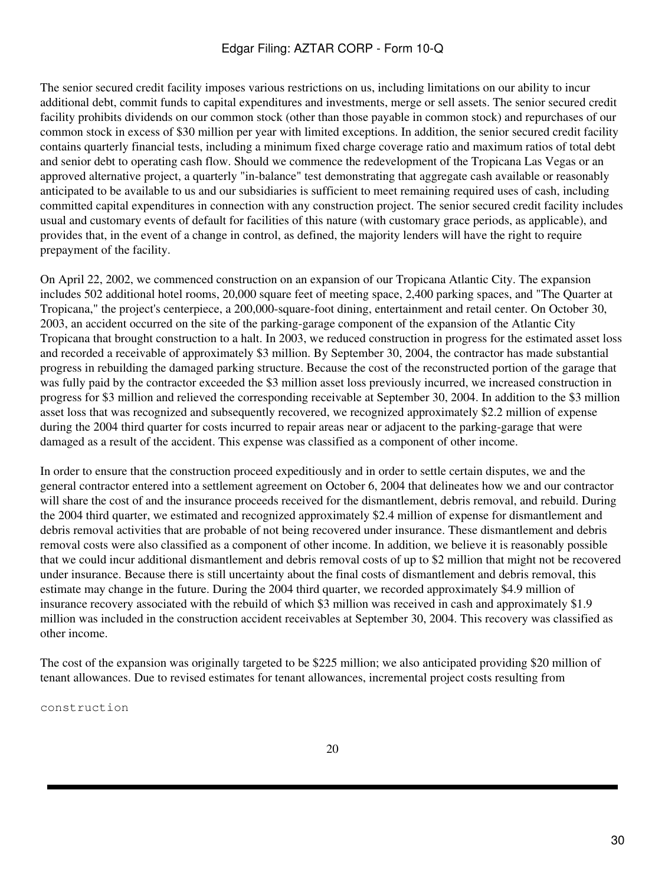The senior secured credit facility imposes various restrictions on us, including limitations on our ability to incur additional debt, commit funds to capital expenditures and investments, merge or sell assets. The senior secured credit facility prohibits dividends on our common stock (other than those payable in common stock) and repurchases of our common stock in excess of \$30 million per year with limited exceptions. In addition, the senior secured credit facility contains quarterly financial tests, including a minimum fixed charge coverage ratio and maximum ratios of total debt and senior debt to operating cash flow. Should we commence the redevelopment of the Tropicana Las Vegas or an approved alternative project, a quarterly "in-balance" test demonstrating that aggregate cash available or reasonably anticipated to be available to us and our subsidiaries is sufficient to meet remaining required uses of cash, including committed capital expenditures in connection with any construction project. The senior secured credit facility includes usual and customary events of default for facilities of this nature (with customary grace periods, as applicable), and provides that, in the event of a change in control, as defined, the majority lenders will have the right to require prepayment of the facility.

On April 22, 2002, we commenced construction on an expansion of our Tropicana Atlantic City. The expansion includes 502 additional hotel rooms, 20,000 square feet of meeting space, 2,400 parking spaces, and "The Quarter at Tropicana," the project's centerpiece, a 200,000-square-foot dining, entertainment and retail center. On October 30, 2003, an accident occurred on the site of the parking-garage component of the expansion of the Atlantic City Tropicana that brought construction to a halt. In 2003, we reduced construction in progress for the estimated asset loss and recorded a receivable of approximately \$3 million. By September 30, 2004, the contractor has made substantial progress in rebuilding the damaged parking structure. Because the cost of the reconstructed portion of the garage that was fully paid by the contractor exceeded the \$3 million asset loss previously incurred, we increased construction in progress for \$3 million and relieved the corresponding receivable at September 30, 2004. In addition to the \$3 million asset loss that was recognized and subsequently recovered, we recognized approximately \$2.2 million of expense during the 2004 third quarter for costs incurred to repair areas near or adjacent to the parking-garage that were damaged as a result of the accident. This expense was classified as a component of other income.

In order to ensure that the construction proceed expeditiously and in order to settle certain disputes, we and the general contractor entered into a settlement agreement on October 6, 2004 that delineates how we and our contractor will share the cost of and the insurance proceeds received for the dismantlement, debris removal, and rebuild. During the 2004 third quarter, we estimated and recognized approximately \$2.4 million of expense for dismantlement and debris removal activities that are probable of not being recovered under insurance. These dismantlement and debris removal costs were also classified as a component of other income. In addition, we believe it is reasonably possible that we could incur additional dismantlement and debris removal costs of up to \$2 million that might not be recovered under insurance. Because there is still uncertainty about the final costs of dismantlement and debris removal, this estimate may change in the future. During the 2004 third quarter, we recorded approximately \$4.9 million of insurance recovery associated with the rebuild of which \$3 million was received in cash and approximately \$1.9 million was included in the construction accident receivables at September 30, 2004. This recovery was classified as other income.

The cost of the expansion was originally targeted to be \$225 million; we also anticipated providing \$20 million of tenant allowances. Due to revised estimates for tenant allowances, incremental project costs resulting from

construction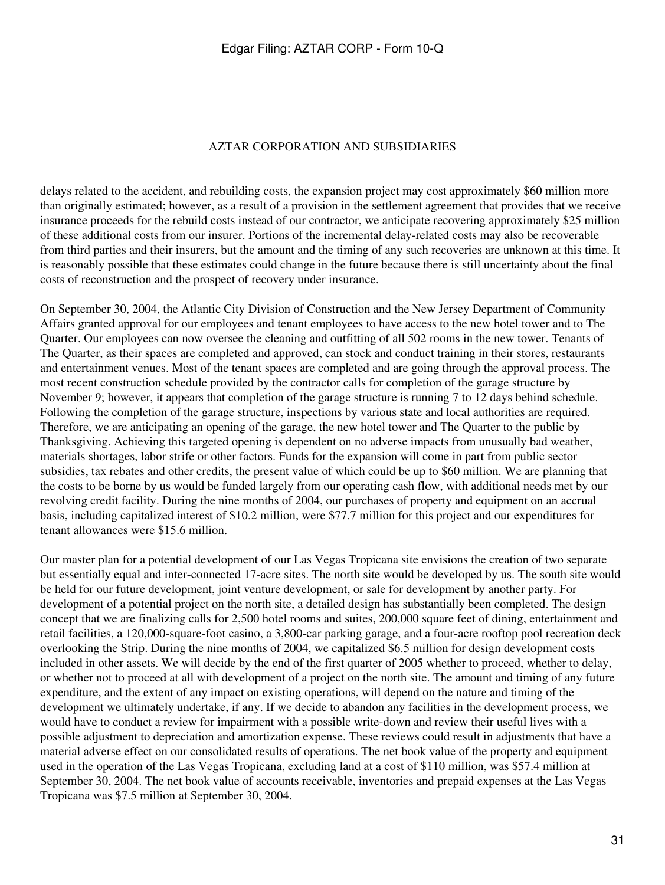#### AZTAR CORPORATION AND SUBSIDIARIES

delays related to the accident, and rebuilding costs, the expansion project may cost approximately \$60 million more than originally estimated; however, as a result of a provision in the settlement agreement that provides that we receive insurance proceeds for the rebuild costs instead of our contractor, we anticipate recovering approximately \$25 million of these additional costs from our insurer. Portions of the incremental delay-related costs may also be recoverable from third parties and their insurers, but the amount and the timing of any such recoveries are unknown at this time. It is reasonably possible that these estimates could change in the future because there is still uncertainty about the final costs of reconstruction and the prospect of recovery under insurance.

On September 30, 2004, the Atlantic City Division of Construction and the New Jersey Department of Community Affairs granted approval for our employees and tenant employees to have access to the new hotel tower and to The Quarter. Our employees can now oversee the cleaning and outfitting of all 502 rooms in the new tower. Tenants of The Quarter, as their spaces are completed and approved, can stock and conduct training in their stores, restaurants and entertainment venues. Most of the tenant spaces are completed and are going through the approval process. The most recent construction schedule provided by the contractor calls for completion of the garage structure by November 9; however, it appears that completion of the garage structure is running 7 to 12 days behind schedule. Following the completion of the garage structure, inspections by various state and local authorities are required. Therefore, we are anticipating an opening of the garage, the new hotel tower and The Quarter to the public by Thanksgiving. Achieving this targeted opening is dependent on no adverse impacts from unusually bad weather, materials shortages, labor strife or other factors. Funds for the expansion will come in part from public sector subsidies, tax rebates and other credits, the present value of which could be up to \$60 million. We are planning that the costs to be borne by us would be funded largely from our operating cash flow, with additional needs met by our revolving credit facility. During the nine months of 2004, our purchases of property and equipment on an accrual basis, including capitalized interest of \$10.2 million, were \$77.7 million for this project and our expenditures for tenant allowances were \$15.6 million.

Our master plan for a potential development of our Las Vegas Tropicana site envisions the creation of two separate but essentially equal and inter-connected 17-acre sites. The north site would be developed by us. The south site would be held for our future development, joint venture development, or sale for development by another party. For development of a potential project on the north site, a detailed design has substantially been completed. The design concept that we are finalizing calls for 2,500 hotel rooms and suites, 200,000 square feet of dining, entertainment and retail facilities, a 120,000-square-foot casino, a 3,800-car parking garage, and a four-acre rooftop pool recreation deck overlooking the Strip. During the nine months of 2004, we capitalized \$6.5 million for design development costs included in other assets. We will decide by the end of the first quarter of 2005 whether to proceed, whether to delay, or whether not to proceed at all with development of a project on the north site. The amount and timing of any future expenditure, and the extent of any impact on existing operations, will depend on the nature and timing of the development we ultimately undertake, if any. If we decide to abandon any facilities in the development process, we would have to conduct a review for impairment with a possible write-down and review their useful lives with a possible adjustment to depreciation and amortization expense. These reviews could result in adjustments that have a material adverse effect on our consolidated results of operations. The net book value of the property and equipment used in the operation of the Las Vegas Tropicana, excluding land at a cost of \$110 million, was \$57.4 million at September 30, 2004. The net book value of accounts receivable, inventories and prepaid expenses at the Las Vegas Tropicana was \$7.5 million at September 30, 2004.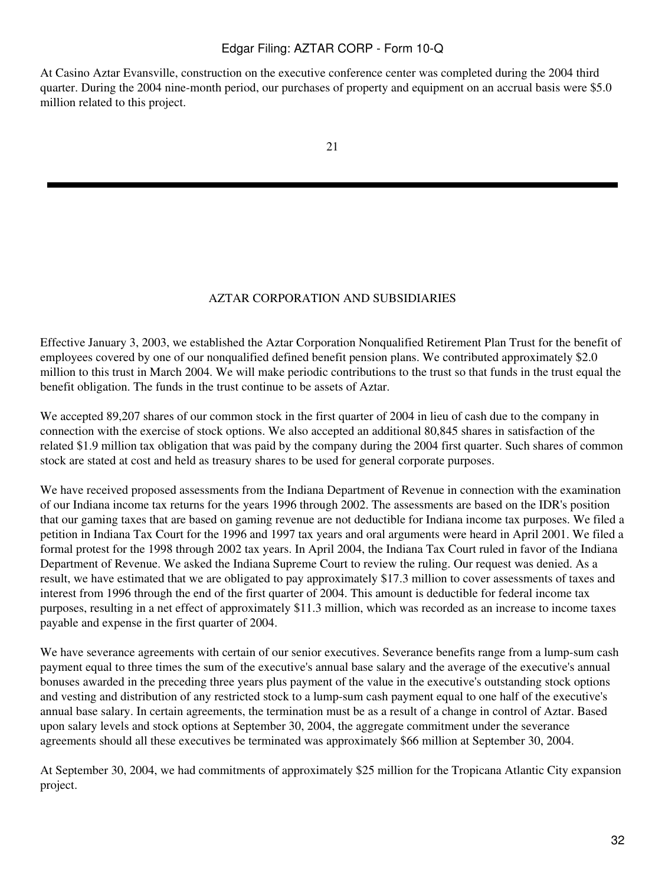At Casino Aztar Evansville, construction on the executive conference center was completed during the 2004 third quarter. During the 2004 nine-month period, our purchases of property and equipment on an accrual basis were \$5.0 million related to this project.

#### AZTAR CORPORATION AND SUBSIDIARIES

Effective January 3, 2003, we established the Aztar Corporation Nonqualified Retirement Plan Trust for the benefit of employees covered by one of our nonqualified defined benefit pension plans. We contributed approximately \$2.0 million to this trust in March 2004. We will make periodic contributions to the trust so that funds in the trust equal the benefit obligation. The funds in the trust continue to be assets of Aztar.

We accepted 89,207 shares of our common stock in the first quarter of 2004 in lieu of cash due to the company in connection with the exercise of stock options. We also accepted an additional 80,845 shares in satisfaction of the related \$1.9 million tax obligation that was paid by the company during the 2004 first quarter. Such shares of common stock are stated at cost and held as treasury shares to be used for general corporate purposes.

We have received proposed assessments from the Indiana Department of Revenue in connection with the examination of our Indiana income tax returns for the years 1996 through 2002. The assessments are based on the IDR's position that our gaming taxes that are based on gaming revenue are not deductible for Indiana income tax purposes. We filed a petition in Indiana Tax Court for the 1996 and 1997 tax years and oral arguments were heard in April 2001. We filed a formal protest for the 1998 through 2002 tax years. In April 2004, the Indiana Tax Court ruled in favor of the Indiana Department of Revenue. We asked the Indiana Supreme Court to review the ruling. Our request was denied. As a result, we have estimated that we are obligated to pay approximately \$17.3 million to cover assessments of taxes and interest from 1996 through the end of the first quarter of 2004. This amount is deductible for federal income tax purposes, resulting in a net effect of approximately \$11.3 million, which was recorded as an increase to income taxes payable and expense in the first quarter of 2004.

We have severance agreements with certain of our senior executives. Severance benefits range from a lump-sum cash payment equal to three times the sum of the executive's annual base salary and the average of the executive's annual bonuses awarded in the preceding three years plus payment of the value in the executive's outstanding stock options and vesting and distribution of any restricted stock to a lump-sum cash payment equal to one half of the executive's annual base salary. In certain agreements, the termination must be as a result of a change in control of Aztar. Based upon salary levels and stock options at September 30, 2004, the aggregate commitment under the severance agreements should all these executives be terminated was approximately \$66 million at September 30, 2004.

At September 30, 2004, we had commitments of approximately \$25 million for the Tropicana Atlantic City expansion project.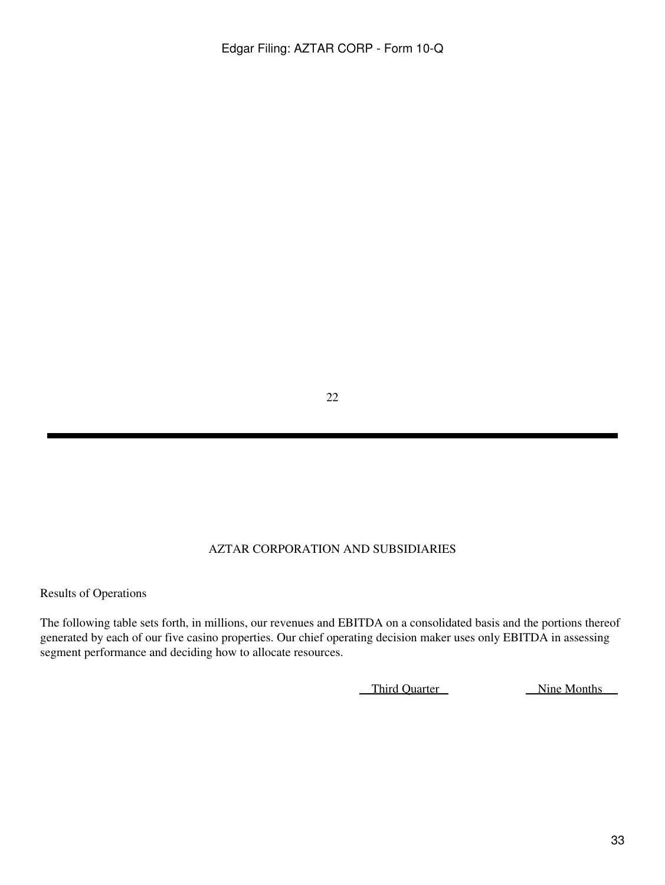22

# AZTAR CORPORATION AND SUBSIDIARIES

Results of Operations

The following table sets forth, in millions, our revenues and EBITDA on a consolidated basis and the portions thereof generated by each of our five casino properties. Our chief operating decision maker uses only EBITDA in assessing segment performance and deciding how to allocate resources.

Third Quarter Nine Months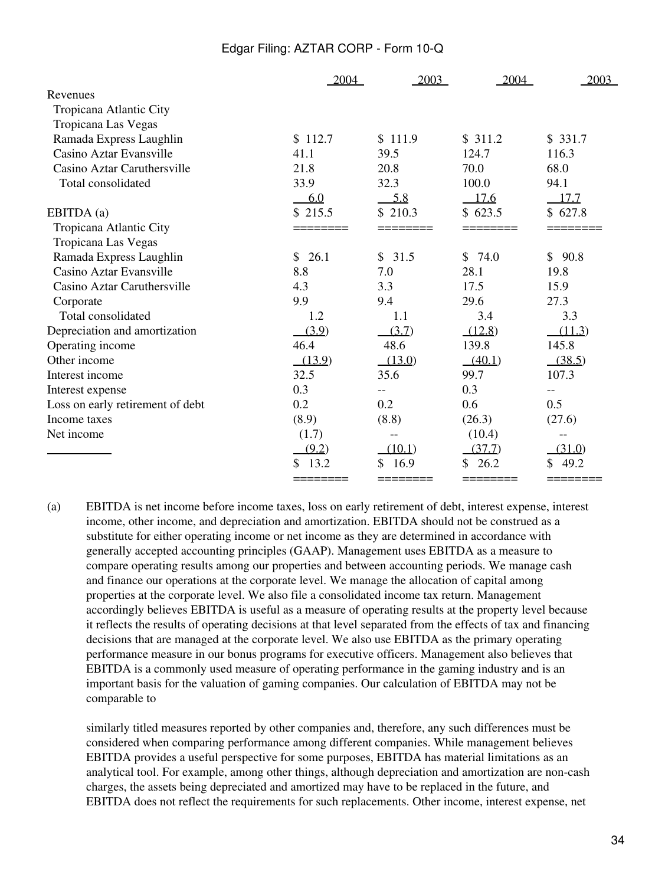|                                  | 2004       | 2003       | 2004     | 2003     |
|----------------------------------|------------|------------|----------|----------|
| Revenues                         |            |            |          |          |
| Tropicana Atlantic City          |            |            |          |          |
| Tropicana Las Vegas              |            |            |          |          |
| Ramada Express Laughlin          | \$112.7    | \$111.9    | \$311.2  | \$331.7  |
| Casino Aztar Evansville          | 41.1       | 39.5       | 124.7    | 116.3    |
| Casino Aztar Caruthersville      | 21.8       | 20.8       | 70.0     | 68.0     |
| Total consolidated               | 33.9       | 32.3       | 100.0    | 94.1     |
|                                  | 6.0        | 5.8        | 17.6     | 17.7     |
| EBITDA (a)                       | \$215.5    | \$210.3    | \$623.5  | \$627.8  |
| Tropicana Atlantic City          |            |            |          |          |
| Tropicana Las Vegas              |            |            |          |          |
| Ramada Express Laughlin          | 26.1<br>\$ | \$31.5     | \$74.0   | \$90.8   |
| Casino Aztar Evansville          | 8.8        | 7.0        | 28.1     | 19.8     |
| Casino Aztar Caruthersville      | 4.3        | 3.3        | 17.5     | 15.9     |
| Corporate                        | 9.9        | 9.4        | 29.6     | 27.3     |
| Total consolidated               | 1.2        | 1.1        | 3.4      | 3.3      |
| Depreciation and amortization    | (3.9)      | (3.7)      | (12.8)   | (11.3)   |
| Operating income                 | 46.4       | 48.6       | 139.8    | 145.8    |
| Other income                     | (13.9)     | (13.0)     | (40.1)   | (38.5)   |
| Interest income                  | 32.5       | 35.6       | 99.7     | 107.3    |
| Interest expense                 | 0.3        | $-$        | 0.3      | $-$      |
| Loss on early retirement of debt | 0.2        | 0.2        | 0.6      | 0.5      |
| Income taxes                     | (8.9)      | (8.8)      | (26.3)   | (27.6)   |
| Net income                       | (1.7)      |            | (10.4)   | --       |
|                                  | (9.2)      | (10.1)     | (37.7)   | (31.0)   |
|                                  | 13.2       | 16.9<br>\$ | 26.2     | 49.2     |
|                                  | ========   | ========   | ======== | ======== |

(a) EBITDA is net income before income taxes, loss on early retirement of debt, interest expense, interest income, other income, and depreciation and amortization. EBITDA should not be construed as a substitute for either operating income or net income as they are determined in accordance with generally accepted accounting principles (GAAP). Management uses EBITDA as a measure to compare operating results among our properties and between accounting periods. We manage cash and finance our operations at the corporate level. We manage the allocation of capital among properties at the corporate level. We also file a consolidated income tax return. Management accordingly believes EBITDA is useful as a measure of operating results at the property level because it reflects the results of operating decisions at that level separated from the effects of tax and financing decisions that are managed at the corporate level. We also use EBITDA as the primary operating performance measure in our bonus programs for executive officers. Management also believes that EBITDA is a commonly used measure of operating performance in the gaming industry and is an important basis for the valuation of gaming companies. Our calculation of EBITDA may not be comparable to

similarly titled measures reported by other companies and, therefore, any such differences must be considered when comparing performance among different companies. While management believes EBITDA provides a useful perspective for some purposes, EBITDA has material limitations as an analytical tool. For example, among other things, although depreciation and amortization are non-cash charges, the assets being depreciated and amortized may have to be replaced in the future, and EBITDA does not reflect the requirements for such replacements. Other income, interest expense, net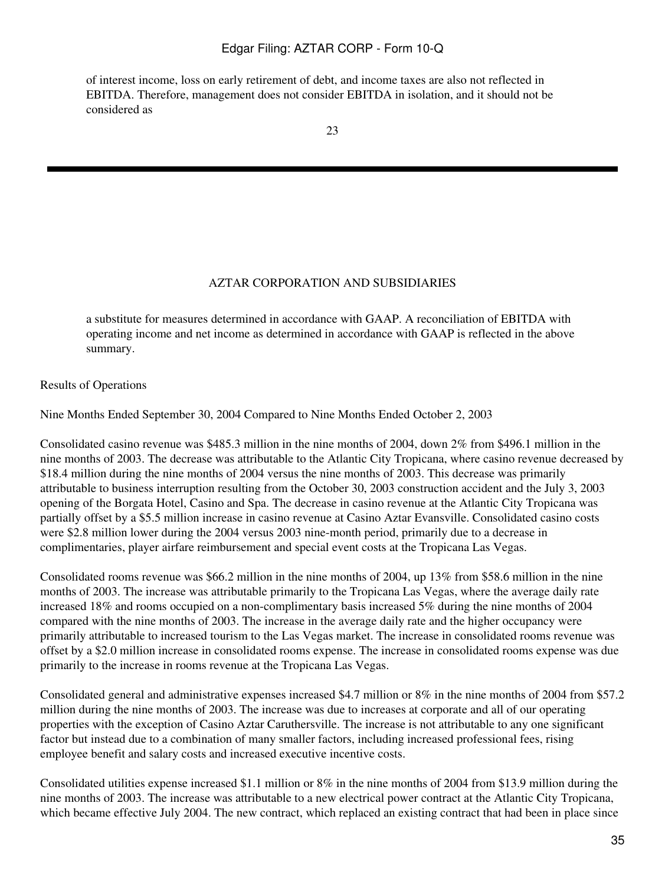of interest income, loss on early retirement of debt, and income taxes are also not reflected in EBITDA. Therefore, management does not consider EBITDA in isolation, and it should not be considered as

#### AZTAR CORPORATION AND SUBSIDIARIES

a substitute for measures determined in accordance with GAAP. A reconciliation of EBITDA with operating income and net income as determined in accordance with GAAP is reflected in the above summary.

Results of Operations

Nine Months Ended September 30, 2004 Compared to Nine Months Ended October 2, 2003

Consolidated casino revenue was \$485.3 million in the nine months of 2004, down 2% from \$496.1 million in the nine months of 2003. The decrease was attributable to the Atlantic City Tropicana, where casino revenue decreased by \$18.4 million during the nine months of 2004 versus the nine months of 2003. This decrease was primarily attributable to business interruption resulting from the October 30, 2003 construction accident and the July 3, 2003 opening of the Borgata Hotel, Casino and Spa. The decrease in casino revenue at the Atlantic City Tropicana was partially offset by a \$5.5 million increase in casino revenue at Casino Aztar Evansville. Consolidated casino costs were \$2.8 million lower during the 2004 versus 2003 nine-month period, primarily due to a decrease in complimentaries, player airfare reimbursement and special event costs at the Tropicana Las Vegas.

Consolidated rooms revenue was \$66.2 million in the nine months of 2004, up 13% from \$58.6 million in the nine months of 2003. The increase was attributable primarily to the Tropicana Las Vegas, where the average daily rate increased 18% and rooms occupied on a non-complimentary basis increased 5% during the nine months of 2004 compared with the nine months of 2003. The increase in the average daily rate and the higher occupancy were primarily attributable to increased tourism to the Las Vegas market. The increase in consolidated rooms revenue was offset by a \$2.0 million increase in consolidated rooms expense. The increase in consolidated rooms expense was due primarily to the increase in rooms revenue at the Tropicana Las Vegas.

Consolidated general and administrative expenses increased \$4.7 million or 8% in the nine months of 2004 from \$57.2 million during the nine months of 2003. The increase was due to increases at corporate and all of our operating properties with the exception of Casino Aztar Caruthersville. The increase is not attributable to any one significant factor but instead due to a combination of many smaller factors, including increased professional fees, rising employee benefit and salary costs and increased executive incentive costs.

Consolidated utilities expense increased \$1.1 million or 8% in the nine months of 2004 from \$13.9 million during the nine months of 2003. The increase was attributable to a new electrical power contract at the Atlantic City Tropicana, which became effective July 2004. The new contract, which replaced an existing contract that had been in place since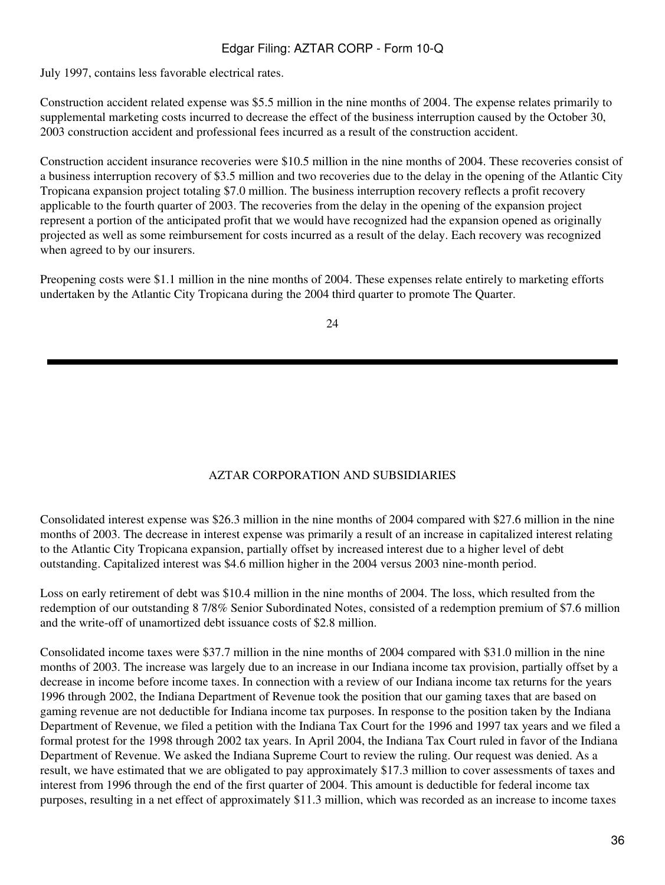July 1997, contains less favorable electrical rates.

Construction accident related expense was \$5.5 million in the nine months of 2004. The expense relates primarily to supplemental marketing costs incurred to decrease the effect of the business interruption caused by the October 30, 2003 construction accident and professional fees incurred as a result of the construction accident.

Construction accident insurance recoveries were \$10.5 million in the nine months of 2004. These recoveries consist of a business interruption recovery of \$3.5 million and two recoveries due to the delay in the opening of the Atlantic City Tropicana expansion project totaling \$7.0 million. The business interruption recovery reflects a profit recovery applicable to the fourth quarter of 2003. The recoveries from the delay in the opening of the expansion project represent a portion of the anticipated profit that we would have recognized had the expansion opened as originally projected as well as some reimbursement for costs incurred as a result of the delay. Each recovery was recognized when agreed to by our insurers.

Preopening costs were \$1.1 million in the nine months of 2004. These expenses relate entirely to marketing efforts undertaken by the Atlantic City Tropicana during the 2004 third quarter to promote The Quarter.

24

# AZTAR CORPORATION AND SUBSIDIARIES

Consolidated interest expense was \$26.3 million in the nine months of 2004 compared with \$27.6 million in the nine months of 2003. The decrease in interest expense was primarily a result of an increase in capitalized interest relating to the Atlantic City Tropicana expansion, partially offset by increased interest due to a higher level of debt outstanding. Capitalized interest was \$4.6 million higher in the 2004 versus 2003 nine-month period.

Loss on early retirement of debt was \$10.4 million in the nine months of 2004. The loss, which resulted from the redemption of our outstanding 8 7/8% Senior Subordinated Notes, consisted of a redemption premium of \$7.6 million and the write-off of unamortized debt issuance costs of \$2.8 million.

Consolidated income taxes were \$37.7 million in the nine months of 2004 compared with \$31.0 million in the nine months of 2003. The increase was largely due to an increase in our Indiana income tax provision, partially offset by a decrease in income before income taxes. In connection with a review of our Indiana income tax returns for the years 1996 through 2002, the Indiana Department of Revenue took the position that our gaming taxes that are based on gaming revenue are not deductible for Indiana income tax purposes. In response to the position taken by the Indiana Department of Revenue, we filed a petition with the Indiana Tax Court for the 1996 and 1997 tax years and we filed a formal protest for the 1998 through 2002 tax years. In April 2004, the Indiana Tax Court ruled in favor of the Indiana Department of Revenue. We asked the Indiana Supreme Court to review the ruling. Our request was denied. As a result, we have estimated that we are obligated to pay approximately \$17.3 million to cover assessments of taxes and interest from 1996 through the end of the first quarter of 2004. This amount is deductible for federal income tax purposes, resulting in a net effect of approximately \$11.3 million, which was recorded as an increase to income taxes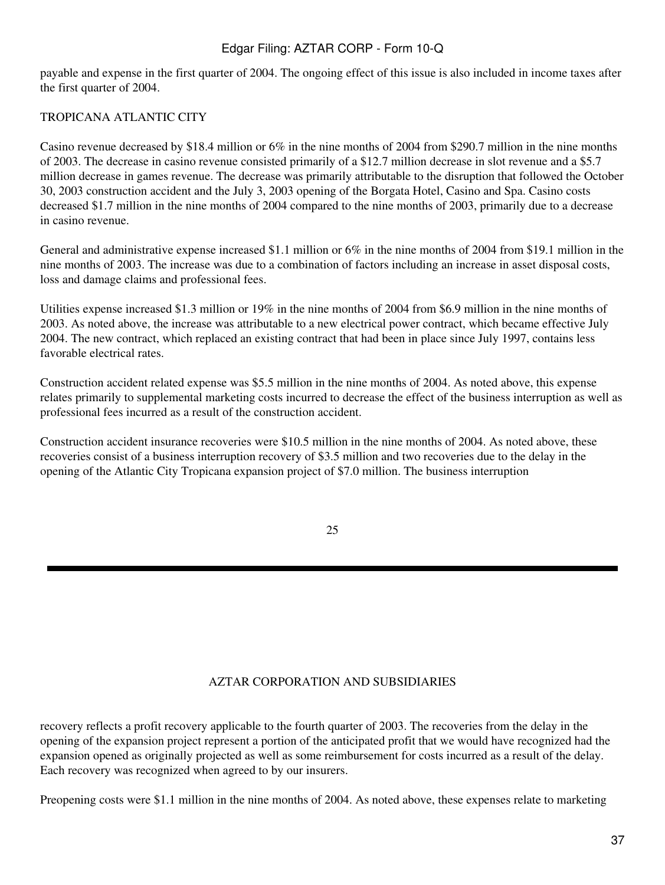payable and expense in the first quarter of 2004. The ongoing effect of this issue is also included in income taxes after the first quarter of 2004.

# TROPICANA ATLANTIC CITY

Casino revenue decreased by \$18.4 million or 6% in the nine months of 2004 from \$290.7 million in the nine months of 2003. The decrease in casino revenue consisted primarily of a \$12.7 million decrease in slot revenue and a \$5.7 million decrease in games revenue. The decrease was primarily attributable to the disruption that followed the October 30, 2003 construction accident and the July 3, 2003 opening of the Borgata Hotel, Casino and Spa. Casino costs decreased \$1.7 million in the nine months of 2004 compared to the nine months of 2003, primarily due to a decrease in casino revenue.

General and administrative expense increased \$1.1 million or 6% in the nine months of 2004 from \$19.1 million in the nine months of 2003. The increase was due to a combination of factors including an increase in asset disposal costs, loss and damage claims and professional fees.

Utilities expense increased \$1.3 million or 19% in the nine months of 2004 from \$6.9 million in the nine months of 2003. As noted above, the increase was attributable to a new electrical power contract, which became effective July 2004. The new contract, which replaced an existing contract that had been in place since July 1997, contains less favorable electrical rates.

Construction accident related expense was \$5.5 million in the nine months of 2004. As noted above, this expense relates primarily to supplemental marketing costs incurred to decrease the effect of the business interruption as well as professional fees incurred as a result of the construction accident.

Construction accident insurance recoveries were \$10.5 million in the nine months of 2004. As noted above, these recoveries consist of a business interruption recovery of \$3.5 million and two recoveries due to the delay in the opening of the Atlantic City Tropicana expansion project of \$7.0 million. The business interruption

25

# AZTAR CORPORATION AND SUBSIDIARIES

recovery reflects a profit recovery applicable to the fourth quarter of 2003. The recoveries from the delay in the opening of the expansion project represent a portion of the anticipated profit that we would have recognized had the expansion opened as originally projected as well as some reimbursement for costs incurred as a result of the delay. Each recovery was recognized when agreed to by our insurers.

Preopening costs were \$1.1 million in the nine months of 2004. As noted above, these expenses relate to marketing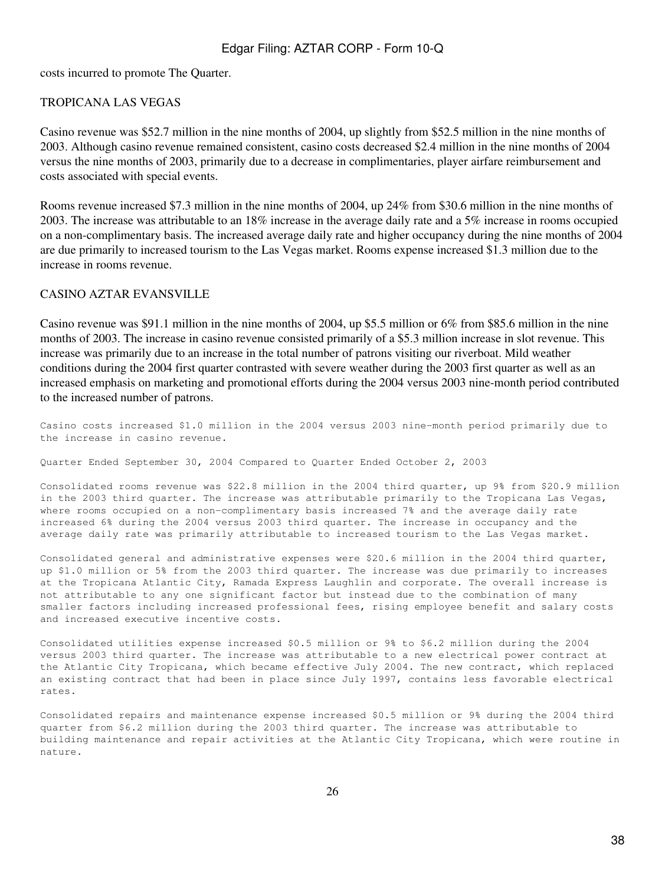costs incurred to promote The Quarter.

#### TROPICANA LAS VEGAS

Casino revenue was \$52.7 million in the nine months of 2004, up slightly from \$52.5 million in the nine months of 2003. Although casino revenue remained consistent, casino costs decreased \$2.4 million in the nine months of 2004 versus the nine months of 2003, primarily due to a decrease in complimentaries, player airfare reimbursement and costs associated with special events.

Rooms revenue increased \$7.3 million in the nine months of 2004, up 24% from \$30.6 million in the nine months of 2003. The increase was attributable to an 18% increase in the average daily rate and a 5% increase in rooms occupied on a non-complimentary basis. The increased average daily rate and higher occupancy during the nine months of 2004 are due primarily to increased tourism to the Las Vegas market. Rooms expense increased \$1.3 million due to the increase in rooms revenue.

#### CASINO AZTAR EVANSVILLE

Casino revenue was \$91.1 million in the nine months of 2004, up \$5.5 million or 6% from \$85.6 million in the nine months of 2003. The increase in casino revenue consisted primarily of a \$5.3 million increase in slot revenue. This increase was primarily due to an increase in the total number of patrons visiting our riverboat. Mild weather conditions during the 2004 first quarter contrasted with severe weather during the 2003 first quarter as well as an increased emphasis on marketing and promotional efforts during the 2004 versus 2003 nine-month period contributed to the increased number of patrons.

Casino costs increased \$1.0 million in the 2004 versus 2003 nine-month period primarily due to the increase in casino revenue.

Quarter Ended September 30, 2004 Compared to Quarter Ended October 2, 2003

Consolidated rooms revenue was \$22.8 million in the 2004 third quarter, up 9% from \$20.9 million in the 2003 third quarter. The increase was attributable primarily to the Tropicana Las Vegas, where rooms occupied on a non-complimentary basis increased 7% and the average daily rate increased 6% during the 2004 versus 2003 third quarter. The increase in occupancy and the average daily rate was primarily attributable to increased tourism to the Las Vegas market.

Consolidated general and administrative expenses were \$20.6 million in the 2004 third quarter, up \$1.0 million or 5% from the 2003 third quarter. The increase was due primarily to increases at the Tropicana Atlantic City, Ramada Express Laughlin and corporate. The overall increase is not attributable to any one significant factor but instead due to the combination of many smaller factors including increased professional fees, rising employee benefit and salary costs and increased executive incentive costs.

Consolidated utilities expense increased \$0.5 million or 9% to \$6.2 million during the 2004 versus 2003 third quarter. The increase was attributable to a new electrical power contract at the Atlantic City Tropicana, which became effective July 2004. The new contract, which replaced an existing contract that had been in place since July 1997, contains less favorable electrical rates.

Consolidated repairs and maintenance expense increased \$0.5 million or 9% during the 2004 third quarter from \$6.2 million during the 2003 third quarter. The increase was attributable to building maintenance and repair activities at the Atlantic City Tropicana, which were routine in nature.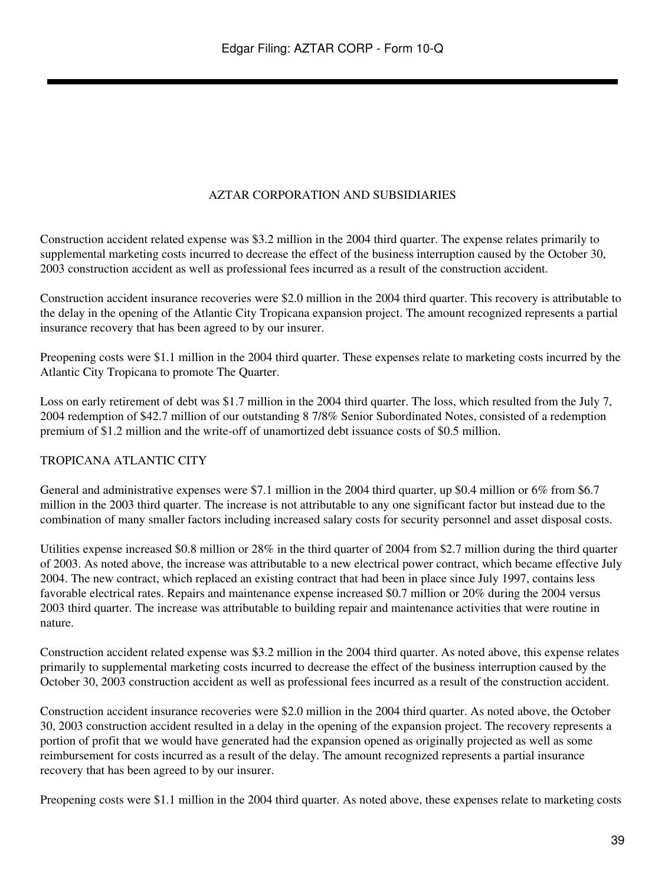# AZTAR CORPORATION AND SUBSIDIARIES

Construction accident related expense was \$3.2 million in the 2004 third quarter. The expense relates primarily to supplemental marketing costs incurred to decrease the effect of the business interruption caused by the October 30, 2003 construction accident as well as professional fees incurred as a result of the construction accident.

Construction accident insurance recoveries were \$2.0 million in the 2004 third quarter. This recovery is attributable to the delay in the opening of the Atlantic City Tropicana expansion project. The amount recognized represents a partial insurance recovery that has been agreed to by our insurer.

Preopening costs were \$1.1 million in the 2004 third quarter. These expenses relate to marketing costs incurred by the Atlantic City Tropicana to promote The Quarter.

Loss on early retirement of debt was \$1.7 million in the 2004 third quarter. The loss, which resulted from the July 7, 2004 redemption of \$42.7 million of our outstanding 8 7/8% Senior Subordinated Notes, consisted of a redemption premium of \$1.2 million and the write-off of unamortized debt issuance costs of \$0.5 million.

# TROPICANA ATLANTIC CITY

General and administrative expenses were \$7.1 million in the 2004 third quarter, up \$0.4 million or 6% from \$6.7 million in the 2003 third quarter. The increase is not attributable to any one significant factor but instead due to the combination of many smaller factors including increased salary costs for security personnel and asset disposal costs.

Utilities expense increased \$0.8 million or 28% in the third quarter of 2004 from \$2.7 million during the third quarter of 2003. As noted above, the increase was attributable to a new electrical power contract, which became effective July 2004. The new contract, which replaced an existing contract that had been in place since July 1997, contains less favorable electrical rates. Repairs and maintenance expense increased \$0.7 million or 20% during the 2004 versus 2003 third quarter. The increase was attributable to building repair and maintenance activities that were routine in nature.

Construction accident related expense was \$3.2 million in the 2004 third quarter. As noted above, this expense relates primarily to supplemental marketing costs incurred to decrease the effect of the business interruption caused by the October 30, 2003 construction accident as well as professional fees incurred as a result of the construction accident.

Construction accident insurance recoveries were \$2.0 million in the 2004 third quarter. As noted above, the October 30, 2003 construction accident resulted in a delay in the opening of the expansion project. The recovery represents a portion of profit that we would have generated had the expansion opened as originally projected as well as some reimbursement for costs incurred as a result of the delay. The amount recognized represents a partial insurance recovery that has been agreed to by our insurer.

Preopening costs were \$1.1 million in the 2004 third quarter. As noted above, these expenses relate to marketing costs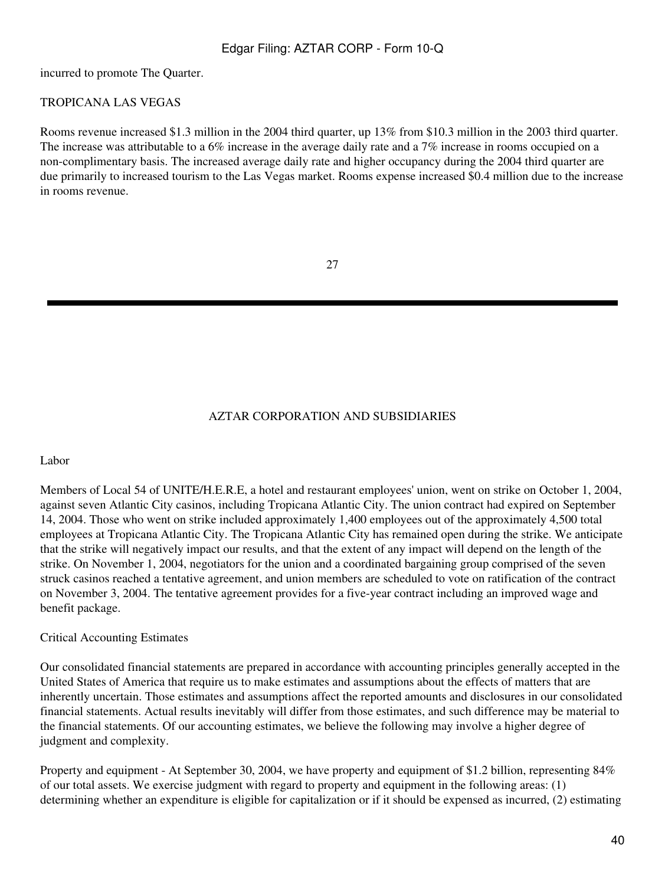incurred to promote The Quarter.

# TROPICANA LAS VEGAS

Rooms revenue increased \$1.3 million in the 2004 third quarter, up 13% from \$10.3 million in the 2003 third quarter. The increase was attributable to a 6% increase in the average daily rate and a 7% increase in rooms occupied on a non-complimentary basis. The increased average daily rate and higher occupancy during the 2004 third quarter are due primarily to increased tourism to the Las Vegas market. Rooms expense increased \$0.4 million due to the increase in rooms revenue.

### AZTAR CORPORATION AND SUBSIDIARIES

#### Labor

Members of Local 54 of UNITE/H.E.R.E, a hotel and restaurant employees' union, went on strike on October 1, 2004, against seven Atlantic City casinos, including Tropicana Atlantic City. The union contract had expired on September 14, 2004. Those who went on strike included approximately 1,400 employees out of the approximately 4,500 total employees at Tropicana Atlantic City. The Tropicana Atlantic City has remained open during the strike. We anticipate that the strike will negatively impact our results, and that the extent of any impact will depend on the length of the strike. On November 1, 2004, negotiators for the union and a coordinated bargaining group comprised of the seven struck casinos reached a tentative agreement, and union members are scheduled to vote on ratification of the contract on November 3, 2004. The tentative agreement provides for a five-year contract including an improved wage and benefit package.

#### Critical Accounting Estimates

Our consolidated financial statements are prepared in accordance with accounting principles generally accepted in the United States of America that require us to make estimates and assumptions about the effects of matters that are inherently uncertain. Those estimates and assumptions affect the reported amounts and disclosures in our consolidated financial statements. Actual results inevitably will differ from those estimates, and such difference may be material to the financial statements. Of our accounting estimates, we believe the following may involve a higher degree of judgment and complexity.

Property and equipment - At September 30, 2004, we have property and equipment of \$1.2 billion, representing 84% of our total assets. We exercise judgment with regard to property and equipment in the following areas: (1) determining whether an expenditure is eligible for capitalization or if it should be expensed as incurred, (2) estimating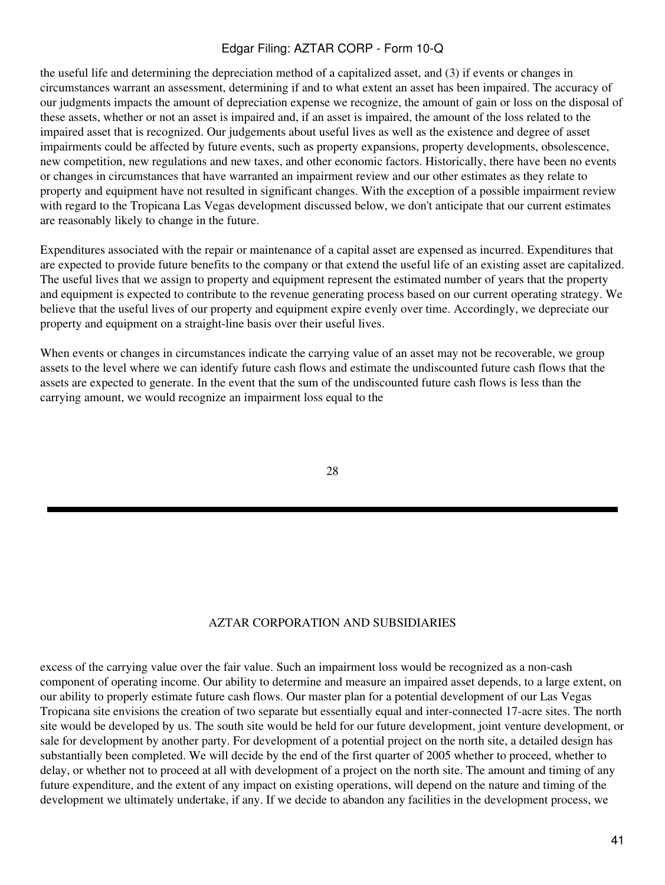the useful life and determining the depreciation method of a capitalized asset, and (3) if events or changes in circumstances warrant an assessment, determining if and to what extent an asset has been impaired. The accuracy of our judgments impacts the amount of depreciation expense we recognize, the amount of gain or loss on the disposal of these assets, whether or not an asset is impaired and, if an asset is impaired, the amount of the loss related to the impaired asset that is recognized. Our judgements about useful lives as well as the existence and degree of asset impairments could be affected by future events, such as property expansions, property developments, obsolescence, new competition, new regulations and new taxes, and other economic factors. Historically, there have been no events or changes in circumstances that have warranted an impairment review and our other estimates as they relate to property and equipment have not resulted in significant changes. With the exception of a possible impairment review with regard to the Tropicana Las Vegas development discussed below, we don't anticipate that our current estimates are reasonably likely to change in the future.

Expenditures associated with the repair or maintenance of a capital asset are expensed as incurred. Expenditures that are expected to provide future benefits to the company or that extend the useful life of an existing asset are capitalized. The useful lives that we assign to property and equipment represent the estimated number of years that the property and equipment is expected to contribute to the revenue generating process based on our current operating strategy. We believe that the useful lives of our property and equipment expire evenly over time. Accordingly, we depreciate our property and equipment on a straight-line basis over their useful lives.

When events or changes in circumstances indicate the carrying value of an asset may not be recoverable, we group assets to the level where we can identify future cash flows and estimate the undiscounted future cash flows that the assets are expected to generate. In the event that the sum of the undiscounted future cash flows is less than the carrying amount, we would recognize an impairment loss equal to the

28

#### AZTAR CORPORATION AND SUBSIDIARIES

excess of the carrying value over the fair value. Such an impairment loss would be recognized as a non-cash component of operating income. Our ability to determine and measure an impaired asset depends, to a large extent, on our ability to properly estimate future cash flows. Our master plan for a potential development of our Las Vegas Tropicana site envisions the creation of two separate but essentially equal and inter-connected 17-acre sites. The north site would be developed by us. The south site would be held for our future development, joint venture development, or sale for development by another party. For development of a potential project on the north site, a detailed design has substantially been completed. We will decide by the end of the first quarter of 2005 whether to proceed, whether to delay, or whether not to proceed at all with development of a project on the north site. The amount and timing of any future expenditure, and the extent of any impact on existing operations, will depend on the nature and timing of the development we ultimately undertake, if any. If we decide to abandon any facilities in the development process, we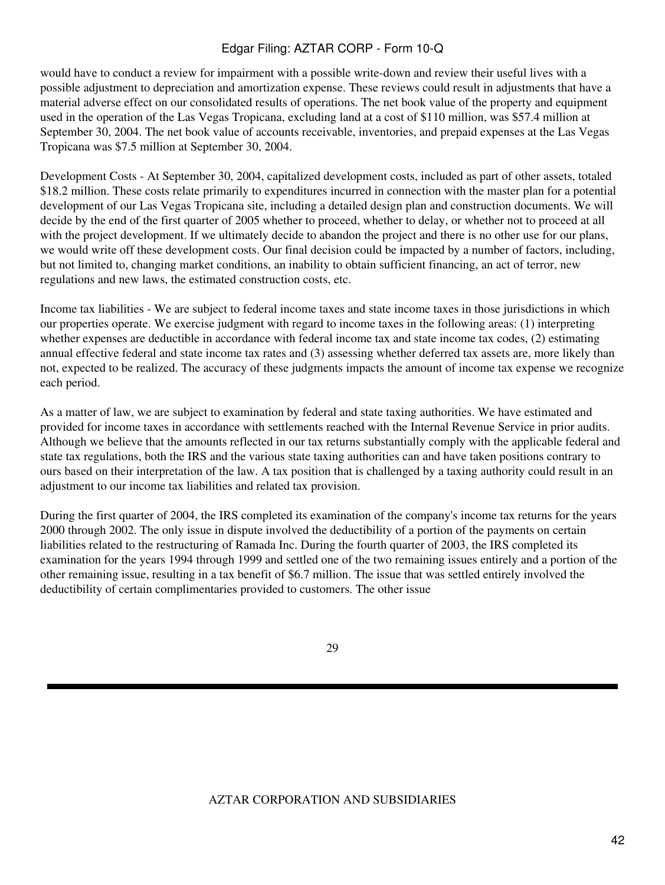would have to conduct a review for impairment with a possible write-down and review their useful lives with a possible adjustment to depreciation and amortization expense. These reviews could result in adjustments that have a material adverse effect on our consolidated results of operations. The net book value of the property and equipment used in the operation of the Las Vegas Tropicana, excluding land at a cost of \$110 million, was \$57.4 million at September 30, 2004. The net book value of accounts receivable, inventories, and prepaid expenses at the Las Vegas Tropicana was \$7.5 million at September 30, 2004.

Development Costs - At September 30, 2004, capitalized development costs, included as part of other assets, totaled \$18.2 million. These costs relate primarily to expenditures incurred in connection with the master plan for a potential development of our Las Vegas Tropicana site, including a detailed design plan and construction documents. We will decide by the end of the first quarter of 2005 whether to proceed, whether to delay, or whether not to proceed at all with the project development. If we ultimately decide to abandon the project and there is no other use for our plans, we would write off these development costs. Our final decision could be impacted by a number of factors, including, but not limited to, changing market conditions, an inability to obtain sufficient financing, an act of terror, new regulations and new laws, the estimated construction costs, etc.

Income tax liabilities - We are subject to federal income taxes and state income taxes in those jurisdictions in which our properties operate. We exercise judgment with regard to income taxes in the following areas: (1) interpreting whether expenses are deductible in accordance with federal income tax and state income tax codes, (2) estimating annual effective federal and state income tax rates and (3) assessing whether deferred tax assets are, more likely than not, expected to be realized. The accuracy of these judgments impacts the amount of income tax expense we recognize each period.

As a matter of law, we are subject to examination by federal and state taxing authorities. We have estimated and provided for income taxes in accordance with settlements reached with the Internal Revenue Service in prior audits. Although we believe that the amounts reflected in our tax returns substantially comply with the applicable federal and state tax regulations, both the IRS and the various state taxing authorities can and have taken positions contrary to ours based on their interpretation of the law. A tax position that is challenged by a taxing authority could result in an adjustment to our income tax liabilities and related tax provision.

During the first quarter of 2004, the IRS completed its examination of the company's income tax returns for the years 2000 through 2002. The only issue in dispute involved the deductibility of a portion of the payments on certain liabilities related to the restructuring of Ramada Inc. During the fourth quarter of 2003, the IRS completed its examination for the years 1994 through 1999 and settled one of the two remaining issues entirely and a portion of the other remaining issue, resulting in a tax benefit of \$6.7 million. The issue that was settled entirely involved the deductibility of certain complimentaries provided to customers. The other issue

29

#### AZTAR CORPORATION AND SUBSIDIARIES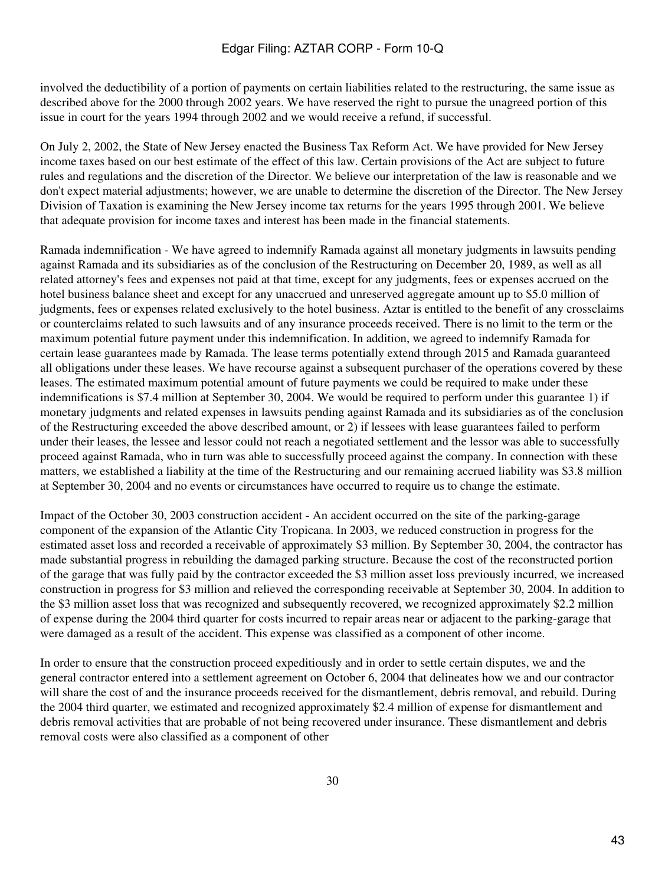involved the deductibility of a portion of payments on certain liabilities related to the restructuring, the same issue as described above for the 2000 through 2002 years. We have reserved the right to pursue the unagreed portion of this issue in court for the years 1994 through 2002 and we would receive a refund, if successful.

On July 2, 2002, the State of New Jersey enacted the Business Tax Reform Act. We have provided for New Jersey income taxes based on our best estimate of the effect of this law. Certain provisions of the Act are subject to future rules and regulations and the discretion of the Director. We believe our interpretation of the law is reasonable and we don't expect material adjustments; however, we are unable to determine the discretion of the Director. The New Jersey Division of Taxation is examining the New Jersey income tax returns for the years 1995 through 2001. We believe that adequate provision for income taxes and interest has been made in the financial statements.

Ramada indemnification - We have agreed to indemnify Ramada against all monetary judgments in lawsuits pending against Ramada and its subsidiaries as of the conclusion of the Restructuring on December 20, 1989, as well as all related attorney's fees and expenses not paid at that time, except for any judgments, fees or expenses accrued on the hotel business balance sheet and except for any unaccrued and unreserved aggregate amount up to \$5.0 million of judgments, fees or expenses related exclusively to the hotel business. Aztar is entitled to the benefit of any crossclaims or counterclaims related to such lawsuits and of any insurance proceeds received. There is no limit to the term or the maximum potential future payment under this indemnification. In addition, we agreed to indemnify Ramada for certain lease guarantees made by Ramada. The lease terms potentially extend through 2015 and Ramada guaranteed all obligations under these leases. We have recourse against a subsequent purchaser of the operations covered by these leases. The estimated maximum potential amount of future payments we could be required to make under these indemnifications is \$7.4 million at September 30, 2004. We would be required to perform under this guarantee 1) if monetary judgments and related expenses in lawsuits pending against Ramada and its subsidiaries as of the conclusion of the Restructuring exceeded the above described amount, or 2) if lessees with lease guarantees failed to perform under their leases, the lessee and lessor could not reach a negotiated settlement and the lessor was able to successfully proceed against Ramada, who in turn was able to successfully proceed against the company. In connection with these matters, we established a liability at the time of the Restructuring and our remaining accrued liability was \$3.8 million at September 30, 2004 and no events or circumstances have occurred to require us to change the estimate.

Impact of the October 30, 2003 construction accident - An accident occurred on the site of the parking-garage component of the expansion of the Atlantic City Tropicana. In 2003, we reduced construction in progress for the estimated asset loss and recorded a receivable of approximately \$3 million. By September 30, 2004, the contractor has made substantial progress in rebuilding the damaged parking structure. Because the cost of the reconstructed portion of the garage that was fully paid by the contractor exceeded the \$3 million asset loss previously incurred, we increased construction in progress for \$3 million and relieved the corresponding receivable at September 30, 2004. In addition to the \$3 million asset loss that was recognized and subsequently recovered, we recognized approximately \$2.2 million of expense during the 2004 third quarter for costs incurred to repair areas near or adjacent to the parking-garage that were damaged as a result of the accident. This expense was classified as a component of other income.

In order to ensure that the construction proceed expeditiously and in order to settle certain disputes, we and the general contractor entered into a settlement agreement on October 6, 2004 that delineates how we and our contractor will share the cost of and the insurance proceeds received for the dismantlement, debris removal, and rebuild. During the 2004 third quarter, we estimated and recognized approximately \$2.4 million of expense for dismantlement and debris removal activities that are probable of not being recovered under insurance. These dismantlement and debris removal costs were also classified as a component of other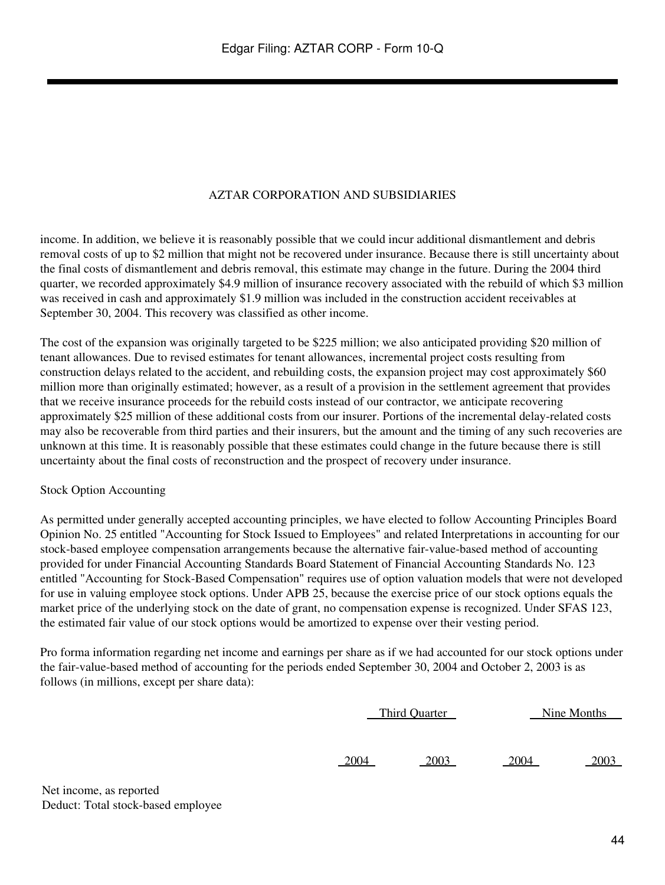### AZTAR CORPORATION AND SUBSIDIARIES

income. In addition, we believe it is reasonably possible that we could incur additional dismantlement and debris removal costs of up to \$2 million that might not be recovered under insurance. Because there is still uncertainty about the final costs of dismantlement and debris removal, this estimate may change in the future. During the 2004 third quarter, we recorded approximately \$4.9 million of insurance recovery associated with the rebuild of which \$3 million was received in cash and approximately \$1.9 million was included in the construction accident receivables at September 30, 2004. This recovery was classified as other income.

The cost of the expansion was originally targeted to be \$225 million; we also anticipated providing \$20 million of tenant allowances. Due to revised estimates for tenant allowances, incremental project costs resulting from construction delays related to the accident, and rebuilding costs, the expansion project may cost approximately \$60 million more than originally estimated; however, as a result of a provision in the settlement agreement that provides that we receive insurance proceeds for the rebuild costs instead of our contractor, we anticipate recovering approximately \$25 million of these additional costs from our insurer. Portions of the incremental delay-related costs may also be recoverable from third parties and their insurers, but the amount and the timing of any such recoveries are unknown at this time. It is reasonably possible that these estimates could change in the future because there is still uncertainty about the final costs of reconstruction and the prospect of recovery under insurance.

#### Stock Option Accounting

As permitted under generally accepted accounting principles, we have elected to follow Accounting Principles Board Opinion No. 25 entitled "Accounting for Stock Issued to Employees" and related Interpretations in accounting for our stock-based employee compensation arrangements because the alternative fair-value-based method of accounting provided for under Financial Accounting Standards Board Statement of Financial Accounting Standards No. 123 entitled "Accounting for Stock-Based Compensation" requires use of option valuation models that were not developed for use in valuing employee stock options. Under APB 25, because the exercise price of our stock options equals the market price of the underlying stock on the date of grant, no compensation expense is recognized. Under SFAS 123, the estimated fair value of our stock options would be amortized to expense over their vesting period.

Pro forma information regarding net income and earnings per share as if we had accounted for our stock options under the fair-value-based method of accounting for the periods ended September 30, 2004 and October 2, 2003 is as follows (in millions, except per share data):

| Third Ouarter | Nine Months |
|---------------|-------------|
|               |             |

2004 2003 2004 2003

Net income, as reported Deduct: Total stock-based employee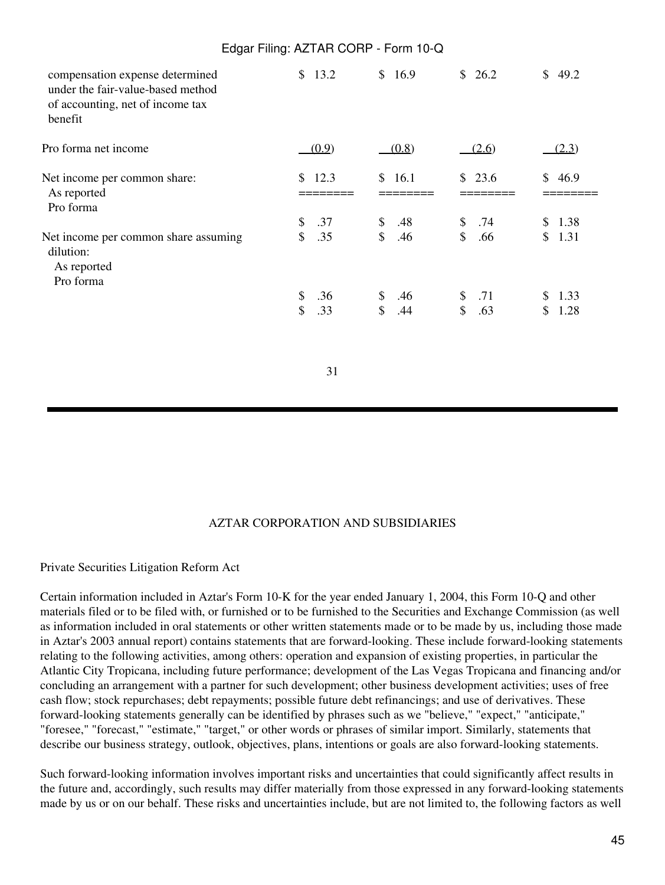|                                                                                                                     | <u> Luguerem germanic Commercium 10 Q</u> |                                   |                                  |                          |
|---------------------------------------------------------------------------------------------------------------------|-------------------------------------------|-----------------------------------|----------------------------------|--------------------------|
| compensation expense determined<br>under the fair-value-based method<br>of accounting, net of income tax<br>benefit | \$13.2                                    | \$16.9                            | \$26.2                           | \$49.2                   |
| Pro forma net income                                                                                                | (0.9)                                     | (0.8)                             | (2.6)                            | (2.3)                    |
| Net income per common share:<br>As reported<br>Pro forma                                                            | \$12.3                                    | \$16.1                            | \$23.6                           | \$46.9                   |
| Net income per common share assuming<br>dilution:<br>As reported<br>Pro forma                                       | \$<br>.37<br>$\mathcal{S}$<br>.35         | \$<br>.48<br>$\frac{1}{2}$<br>.46 | \$<br>.74<br>$\mathbb{S}$<br>.66 | \$1.38<br>\$1.31         |
|                                                                                                                     | .36<br>\$<br>\$<br>.33                    | \$.46<br>$\mathsf{\$}$<br>.44     | .71<br>\$<br>$\mathbb{S}$<br>.63 | 1.33<br>\$<br>\$<br>1.28 |
|                                                                                                                     | 31                                        |                                   |                                  |                          |

# AZTAR CORPORATION AND SUBSIDIARIES

Private Securities Litigation Reform Act

Certain information included in Aztar's Form 10-K for the year ended January 1, 2004, this Form 10-Q and other materials filed or to be filed with, or furnished or to be furnished to the Securities and Exchange Commission (as well as information included in oral statements or other written statements made or to be made by us, including those made in Aztar's 2003 annual report) contains statements that are forward-looking. These include forward-looking statements relating to the following activities, among others: operation and expansion of existing properties, in particular the Atlantic City Tropicana, including future performance; development of the Las Vegas Tropicana and financing and/or concluding an arrangement with a partner for such development; other business development activities; uses of free cash flow; stock repurchases; debt repayments; possible future debt refinancings; and use of derivatives. These forward-looking statements generally can be identified by phrases such as we "believe," "expect," "anticipate," "foresee," "forecast," "estimate," "target," or other words or phrases of similar import. Similarly, statements that describe our business strategy, outlook, objectives, plans, intentions or goals are also forward-looking statements.

Such forward-looking information involves important risks and uncertainties that could significantly affect results in the future and, accordingly, such results may differ materially from those expressed in any forward-looking statements made by us or on our behalf. These risks and uncertainties include, but are not limited to, the following factors as well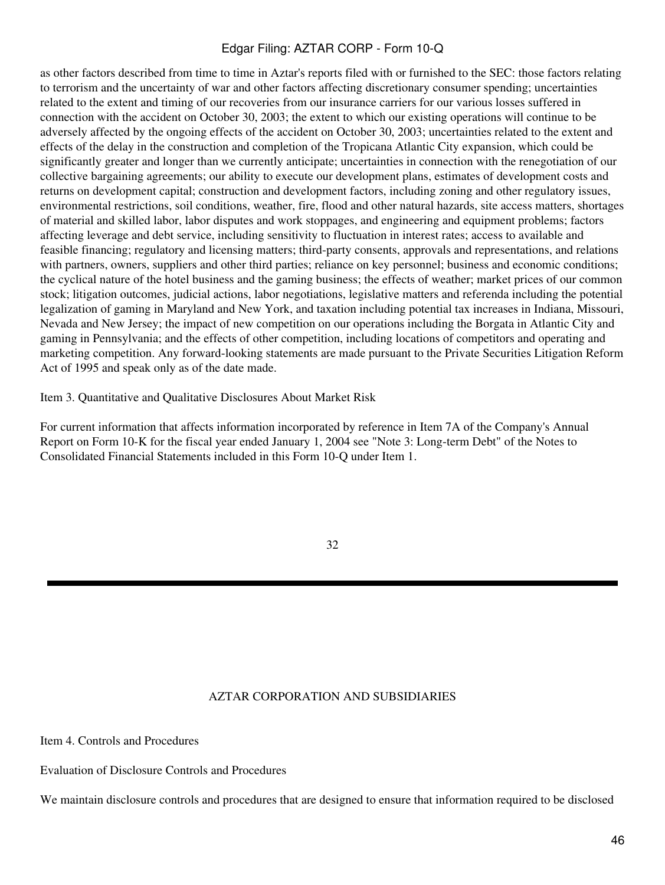as other factors described from time to time in Aztar's reports filed with or furnished to the SEC: those factors relating to terrorism and the uncertainty of war and other factors affecting discretionary consumer spending; uncertainties related to the extent and timing of our recoveries from our insurance carriers for our various losses suffered in connection with the accident on October 30, 2003; the extent to which our existing operations will continue to be adversely affected by the ongoing effects of the accident on October 30, 2003; uncertainties related to the extent and effects of the delay in the construction and completion of the Tropicana Atlantic City expansion, which could be significantly greater and longer than we currently anticipate; uncertainties in connection with the renegotiation of our collective bargaining agreements; our ability to execute our development plans, estimates of development costs and returns on development capital; construction and development factors, including zoning and other regulatory issues, environmental restrictions, soil conditions, weather, fire, flood and other natural hazards, site access matters, shortages of material and skilled labor, labor disputes and work stoppages, and engineering and equipment problems; factors affecting leverage and debt service, including sensitivity to fluctuation in interest rates; access to available and feasible financing; regulatory and licensing matters; third-party consents, approvals and representations, and relations with partners, owners, suppliers and other third parties; reliance on key personnel; business and economic conditions; the cyclical nature of the hotel business and the gaming business; the effects of weather; market prices of our common stock; litigation outcomes, judicial actions, labor negotiations, legislative matters and referenda including the potential legalization of gaming in Maryland and New York, and taxation including potential tax increases in Indiana, Missouri, Nevada and New Jersey; the impact of new competition on our operations including the Borgata in Atlantic City and gaming in Pennsylvania; and the effects of other competition, including locations of competitors and operating and marketing competition. Any forward-looking statements are made pursuant to the Private Securities Litigation Reform Act of 1995 and speak only as of the date made.

Item 3. Quantitative and Qualitative Disclosures About Market Risk

For current information that affects information incorporated by reference in Item 7A of the Company's Annual Report on Form 10-K for the fiscal year ended January 1, 2004 see "Note 3: Long-term Debt" of the Notes to Consolidated Financial Statements included in this Form 10-Q under Item 1.

#### 32

#### AZTAR CORPORATION AND SUBSIDIARIES

Item 4. Controls and Procedures

Evaluation of Disclosure Controls and Procedures

We maintain disclosure controls and procedures that are designed to ensure that information required to be disclosed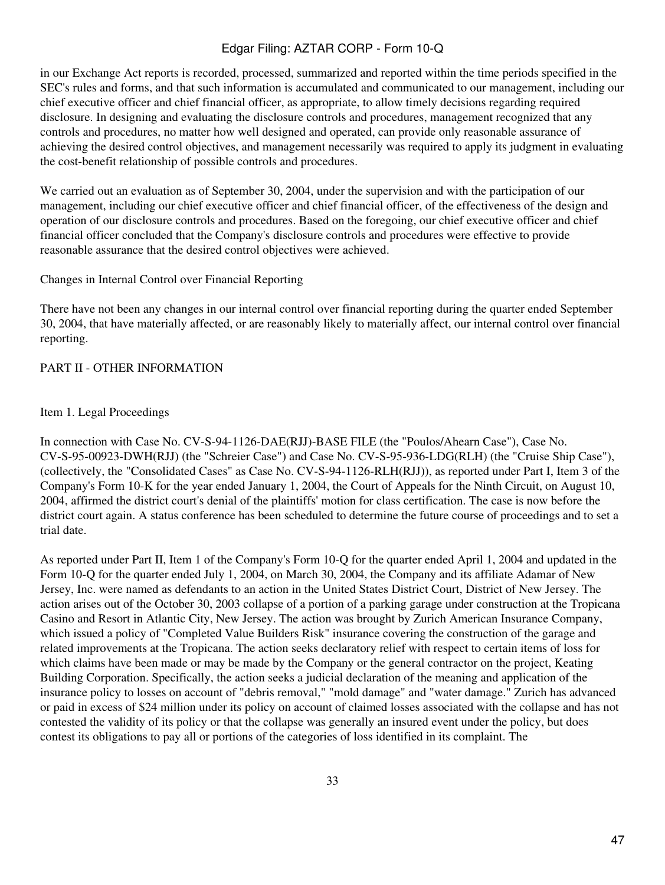in our Exchange Act reports is recorded, processed, summarized and reported within the time periods specified in the SEC's rules and forms, and that such information is accumulated and communicated to our management, including our chief executive officer and chief financial officer, as appropriate, to allow timely decisions regarding required disclosure. In designing and evaluating the disclosure controls and procedures, management recognized that any controls and procedures, no matter how well designed and operated, can provide only reasonable assurance of achieving the desired control objectives, and management necessarily was required to apply its judgment in evaluating the cost-benefit relationship of possible controls and procedures.

We carried out an evaluation as of September 30, 2004, under the supervision and with the participation of our management, including our chief executive officer and chief financial officer, of the effectiveness of the design and operation of our disclosure controls and procedures. Based on the foregoing, our chief executive officer and chief financial officer concluded that the Company's disclosure controls and procedures were effective to provide reasonable assurance that the desired control objectives were achieved.

### Changes in Internal Control over Financial Reporting

There have not been any changes in our internal control over financial reporting during the quarter ended September 30, 2004, that have materially affected, or are reasonably likely to materially affect, our internal control over financial reporting.

# PART II - OTHER INFORMATION

### Item 1. Legal Proceedings

In connection with Case No. CV-S-94-1126-DAE(RJJ)-BASE FILE (the "Poulos/Ahearn Case"), Case No. CV-S-95-00923-DWH(RJJ) (the "Schreier Case") and Case No. CV-S-95-936-LDG(RLH) (the "Cruise Ship Case"), (collectively, the "Consolidated Cases" as Case No. CV-S-94-1126-RLH(RJJ)), as reported under Part I, Item 3 of the Company's Form 10-K for the year ended January 1, 2004, the Court of Appeals for the Ninth Circuit, on August 10, 2004, affirmed the district court's denial of the plaintiffs' motion for class certification. The case is now before the district court again. A status conference has been scheduled to determine the future course of proceedings and to set a trial date.

As reported under Part II, Item 1 of the Company's Form 10-Q for the quarter ended April 1, 2004 and updated in the Form 10-Q for the quarter ended July 1, 2004, on March 30, 2004, the Company and its affiliate Adamar of New Jersey, Inc. were named as defendants to an action in the United States District Court, District of New Jersey. The action arises out of the October 30, 2003 collapse of a portion of a parking garage under construction at the Tropicana Casino and Resort in Atlantic City, New Jersey. The action was brought by Zurich American Insurance Company, which issued a policy of "Completed Value Builders Risk" insurance covering the construction of the garage and related improvements at the Tropicana. The action seeks declaratory relief with respect to certain items of loss for which claims have been made or may be made by the Company or the general contractor on the project, Keating Building Corporation. Specifically, the action seeks a judicial declaration of the meaning and application of the insurance policy to losses on account of "debris removal," "mold damage" and "water damage." Zurich has advanced or paid in excess of \$24 million under its policy on account of claimed losses associated with the collapse and has not contested the validity of its policy or that the collapse was generally an insured event under the policy, but does contest its obligations to pay all or portions of the categories of loss identified in its complaint. The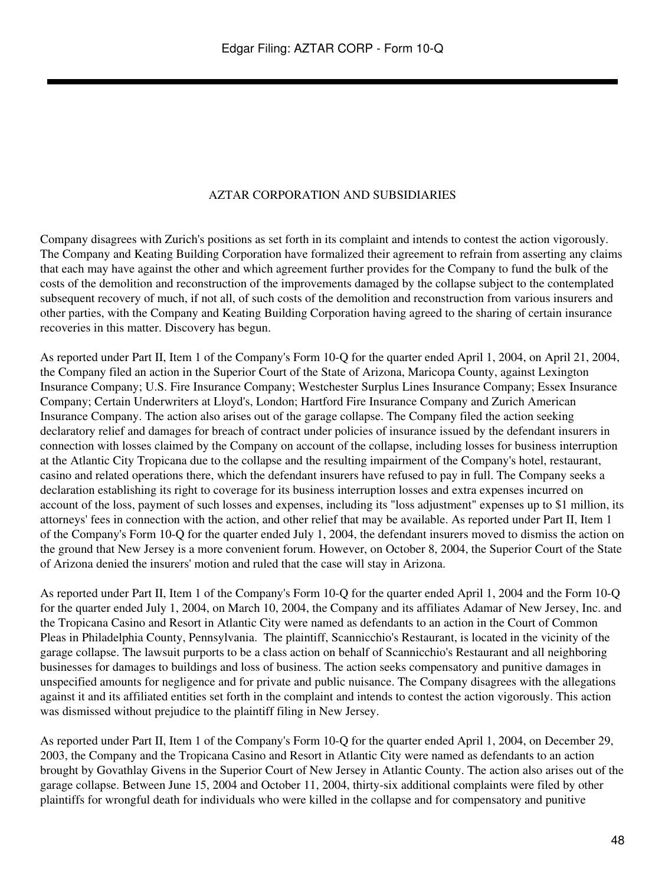### AZTAR CORPORATION AND SUBSIDIARIES

Company disagrees with Zurich's positions as set forth in its complaint and intends to contest the action vigorously. The Company and Keating Building Corporation have formalized their agreement to refrain from asserting any claims that each may have against the other and which agreement further provides for the Company to fund the bulk of the costs of the demolition and reconstruction of the improvements damaged by the collapse subject to the contemplated subsequent recovery of much, if not all, of such costs of the demolition and reconstruction from various insurers and other parties, with the Company and Keating Building Corporation having agreed to the sharing of certain insurance recoveries in this matter. Discovery has begun.

As reported under Part II, Item 1 of the Company's Form 10-Q for the quarter ended April 1, 2004, on April 21, 2004, the Company filed an action in the Superior Court of the State of Arizona, Maricopa County, against Lexington Insurance Company; U.S. Fire Insurance Company; Westchester Surplus Lines Insurance Company; Essex Insurance Company; Certain Underwriters at Lloyd's, London; Hartford Fire Insurance Company and Zurich American Insurance Company. The action also arises out of the garage collapse. The Company filed the action seeking declaratory relief and damages for breach of contract under policies of insurance issued by the defendant insurers in connection with losses claimed by the Company on account of the collapse, including losses for business interruption at the Atlantic City Tropicana due to the collapse and the resulting impairment of the Company's hotel, restaurant, casino and related operations there, which the defendant insurers have refused to pay in full. The Company seeks a declaration establishing its right to coverage for its business interruption losses and extra expenses incurred on account of the loss, payment of such losses and expenses, including its "loss adjustment" expenses up to \$1 million, its attorneys' fees in connection with the action, and other relief that may be available. As reported under Part II, Item 1 of the Company's Form 10-Q for the quarter ended July 1, 2004, the defendant insurers moved to dismiss the action on the ground that New Jersey is a more convenient forum. However, on October 8, 2004, the Superior Court of the State of Arizona denied the insurers' motion and ruled that the case will stay in Arizona.

As reported under Part II, Item 1 of the Company's Form 10-Q for the quarter ended April 1, 2004 and the Form 10-Q for the quarter ended July 1, 2004, on March 10, 2004, the Company and its affiliates Adamar of New Jersey, Inc. and the Tropicana Casino and Resort in Atlantic City were named as defendants to an action in the Court of Common Pleas in Philadelphia County, Pennsylvania. The plaintiff, Scannicchio's Restaurant, is located in the vicinity of the garage collapse. The lawsuit purports to be a class action on behalf of Scannicchio's Restaurant and all neighboring businesses for damages to buildings and loss of business. The action seeks compensatory and punitive damages in unspecified amounts for negligence and for private and public nuisance. The Company disagrees with the allegations against it and its affiliated entities set forth in the complaint and intends to contest the action vigorously. This action was dismissed without prejudice to the plaintiff filing in New Jersey.

As reported under Part II, Item 1 of the Company's Form 10-Q for the quarter ended April 1, 2004, on December 29, 2003, the Company and the Tropicana Casino and Resort in Atlantic City were named as defendants to an action brought by Govathlay Givens in the Superior Court of New Jersey in Atlantic County. The action also arises out of the garage collapse. Between June 15, 2004 and October 11, 2004, thirty-six additional complaints were filed by other plaintiffs for wrongful death for individuals who were killed in the collapse and for compensatory and punitive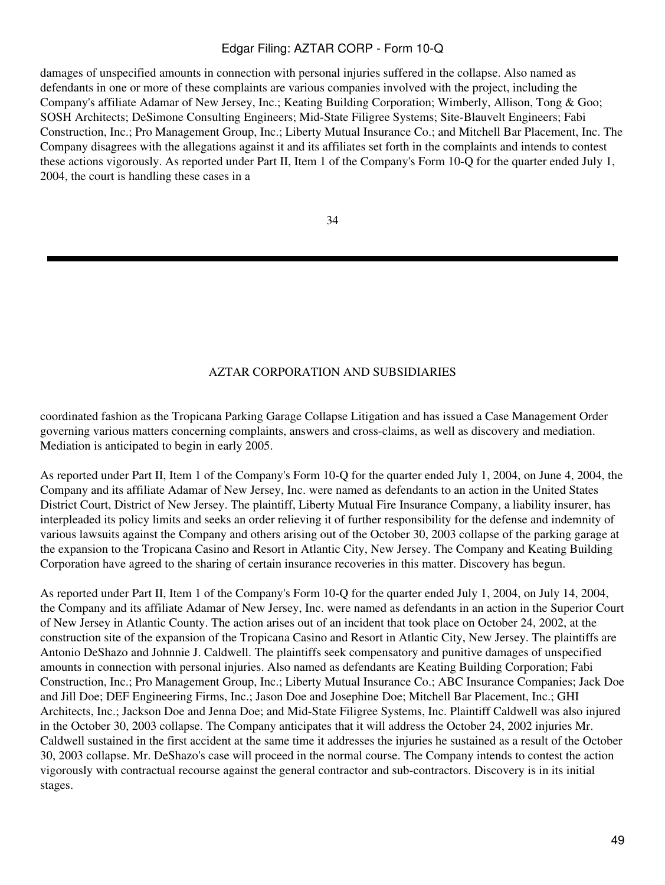damages of unspecified amounts in connection with personal injuries suffered in the collapse. Also named as defendants in one or more of these complaints are various companies involved with the project, including the Company's affiliate Adamar of New Jersey, Inc.; Keating Building Corporation; Wimberly, Allison, Tong & Goo; SOSH Architects; DeSimone Consulting Engineers; Mid-State Filigree Systems; Site-Blauvelt Engineers; Fabi Construction, Inc.; Pro Management Group, Inc.; Liberty Mutual Insurance Co.; and Mitchell Bar Placement, Inc. The Company disagrees with the allegations against it and its affiliates set forth in the complaints and intends to contest these actions vigorously. As reported under Part II, Item 1 of the Company's Form 10-Q for the quarter ended July 1, 2004, the court is handling these cases in a

34

### AZTAR CORPORATION AND SUBSIDIARIES

coordinated fashion as the Tropicana Parking Garage Collapse Litigation and has issued a Case Management Order governing various matters concerning complaints, answers and cross-claims, as well as discovery and mediation. Mediation is anticipated to begin in early 2005.

As reported under Part II, Item 1 of the Company's Form 10-Q for the quarter ended July 1, 2004, on June 4, 2004, the Company and its affiliate Adamar of New Jersey, Inc. were named as defendants to an action in the United States District Court, District of New Jersey. The plaintiff, Liberty Mutual Fire Insurance Company, a liability insurer, has interpleaded its policy limits and seeks an order relieving it of further responsibility for the defense and indemnity of various lawsuits against the Company and others arising out of the October 30, 2003 collapse of the parking garage at the expansion to the Tropicana Casino and Resort in Atlantic City, New Jersey. The Company and Keating Building Corporation have agreed to the sharing of certain insurance recoveries in this matter. Discovery has begun.

As reported under Part II, Item 1 of the Company's Form 10-Q for the quarter ended July 1, 2004, on July 14, 2004, the Company and its affiliate Adamar of New Jersey, Inc. were named as defendants in an action in the Superior Court of New Jersey in Atlantic County. The action arises out of an incident that took place on October 24, 2002, at the construction site of the expansion of the Tropicana Casino and Resort in Atlantic City, New Jersey. The plaintiffs are Antonio DeShazo and Johnnie J. Caldwell. The plaintiffs seek compensatory and punitive damages of unspecified amounts in connection with personal injuries. Also named as defendants are Keating Building Corporation; Fabi Construction, Inc.; Pro Management Group, Inc.; Liberty Mutual Insurance Co.; ABC Insurance Companies; Jack Doe and Jill Doe; DEF Engineering Firms, Inc.; Jason Doe and Josephine Doe; Mitchell Bar Placement, Inc.; GHI Architects, Inc.; Jackson Doe and Jenna Doe; and Mid-State Filigree Systems, Inc. Plaintiff Caldwell was also injured in the October 30, 2003 collapse. The Company anticipates that it will address the October 24, 2002 injuries Mr. Caldwell sustained in the first accident at the same time it addresses the injuries he sustained as a result of the October 30, 2003 collapse. Mr. DeShazo's case will proceed in the normal course. The Company intends to contest the action vigorously with contractual recourse against the general contractor and sub-contractors. Discovery is in its initial stages.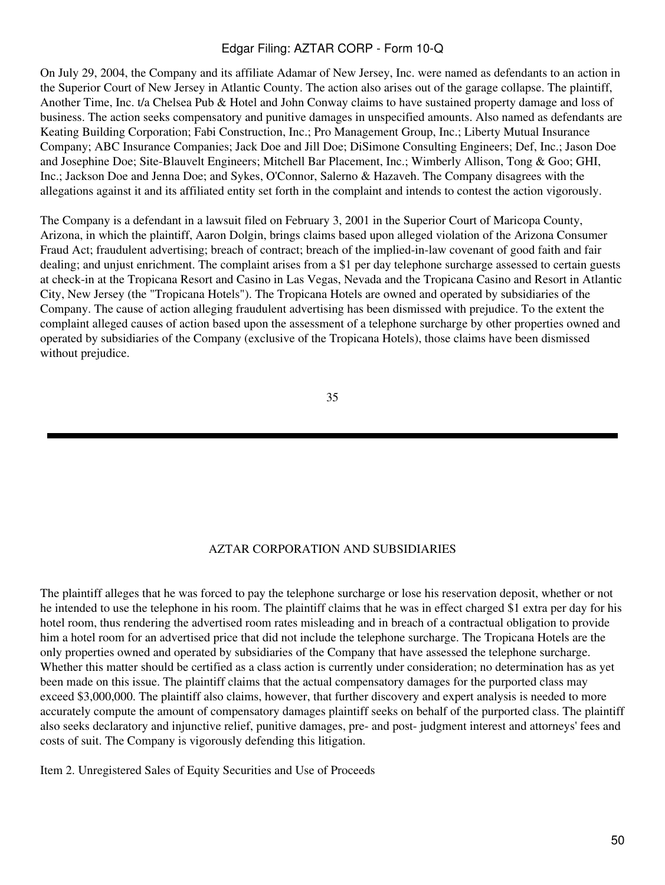On July 29, 2004, the Company and its affiliate Adamar of New Jersey, Inc. were named as defendants to an action in the Superior Court of New Jersey in Atlantic County. The action also arises out of the garage collapse. The plaintiff, Another Time, Inc. t/a Chelsea Pub & Hotel and John Conway claims to have sustained property damage and loss of business. The action seeks compensatory and punitive damages in unspecified amounts. Also named as defendants are Keating Building Corporation; Fabi Construction, Inc.; Pro Management Group, Inc.; Liberty Mutual Insurance Company; ABC Insurance Companies; Jack Doe and Jill Doe; DiSimone Consulting Engineers; Def, Inc.; Jason Doe and Josephine Doe; Site-Blauvelt Engineers; Mitchell Bar Placement, Inc.; Wimberly Allison, Tong & Goo; GHI, Inc.; Jackson Doe and Jenna Doe; and Sykes, O'Connor, Salerno & Hazaveh. The Company disagrees with the allegations against it and its affiliated entity set forth in the complaint and intends to contest the action vigorously.

The Company is a defendant in a lawsuit filed on February 3, 2001 in the Superior Court of Maricopa County, Arizona, in which the plaintiff, Aaron Dolgin, brings claims based upon alleged violation of the Arizona Consumer Fraud Act; fraudulent advertising; breach of contract; breach of the implied-in-law covenant of good faith and fair dealing; and unjust enrichment. The complaint arises from a \$1 per day telephone surcharge assessed to certain guests at check-in at the Tropicana Resort and Casino in Las Vegas, Nevada and the Tropicana Casino and Resort in Atlantic City, New Jersey (the "Tropicana Hotels"). The Tropicana Hotels are owned and operated by subsidiaries of the Company. The cause of action alleging fraudulent advertising has been dismissed with prejudice. To the extent the complaint alleged causes of action based upon the assessment of a telephone surcharge by other properties owned and operated by subsidiaries of the Company (exclusive of the Tropicana Hotels), those claims have been dismissed without prejudice.

#### 35

#### AZTAR CORPORATION AND SUBSIDIARIES

The plaintiff alleges that he was forced to pay the telephone surcharge or lose his reservation deposit, whether or not he intended to use the telephone in his room. The plaintiff claims that he was in effect charged \$1 extra per day for his hotel room, thus rendering the advertised room rates misleading and in breach of a contractual obligation to provide him a hotel room for an advertised price that did not include the telephone surcharge. The Tropicana Hotels are the only properties owned and operated by subsidiaries of the Company that have assessed the telephone surcharge. Whether this matter should be certified as a class action is currently under consideration; no determination has as yet been made on this issue. The plaintiff claims that the actual compensatory damages for the purported class may exceed \$3,000,000. The plaintiff also claims, however, that further discovery and expert analysis is needed to more accurately compute the amount of compensatory damages plaintiff seeks on behalf of the purported class. The plaintiff also seeks declaratory and injunctive relief, punitive damages, pre- and post- judgment interest and attorneys' fees and costs of suit. The Company is vigorously defending this litigation.

Item 2. Unregistered Sales of Equity Securities and Use of Proceeds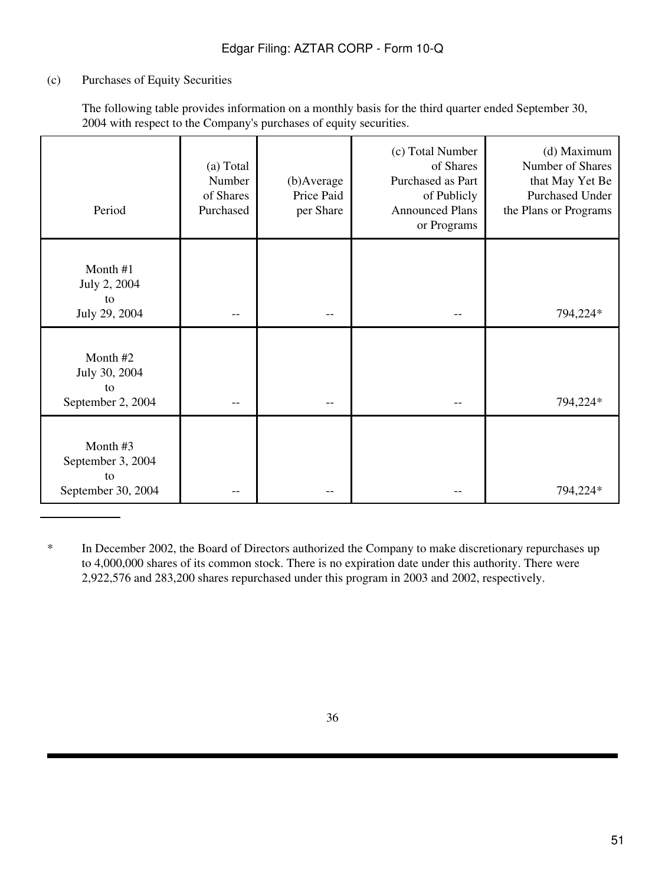# (c) Purchases of Equity Securities

The following table provides information on a monthly basis for the third quarter ended September 30, 2004 with respect to the Company's purchases of equity securities.

| Period                                                   | (a) Total<br>Number<br>of Shares<br>Purchased | (b)Average<br>Price Paid<br>per Share | (c) Total Number<br>of Shares<br>Purchased as Part<br>of Publicly<br><b>Announced Plans</b><br>or Programs | (d) Maximum<br>Number of Shares<br>that May Yet Be<br><b>Purchased Under</b><br>the Plans or Programs |
|----------------------------------------------------------|-----------------------------------------------|---------------------------------------|------------------------------------------------------------------------------------------------------------|-------------------------------------------------------------------------------------------------------|
| Month #1<br>July 2, 2004<br>to<br>July 29, 2004          |                                               |                                       |                                                                                                            | 794,224*                                                                                              |
| Month #2<br>July 30, 2004<br>to<br>September 2, 2004     |                                               |                                       |                                                                                                            | 794,224*                                                                                              |
| Month#3<br>September 3, 2004<br>to<br>September 30, 2004 |                                               |                                       |                                                                                                            | 794,224*                                                                                              |

<sup>\*</sup> In December 2002, the Board of Directors authorized the Company to make discretionary repurchases up to 4,000,000 shares of its common stock. There is no expiration date under this authority. There were 2,922,576 and 283,200 shares repurchased under this program in 2003 and 2002, respectively.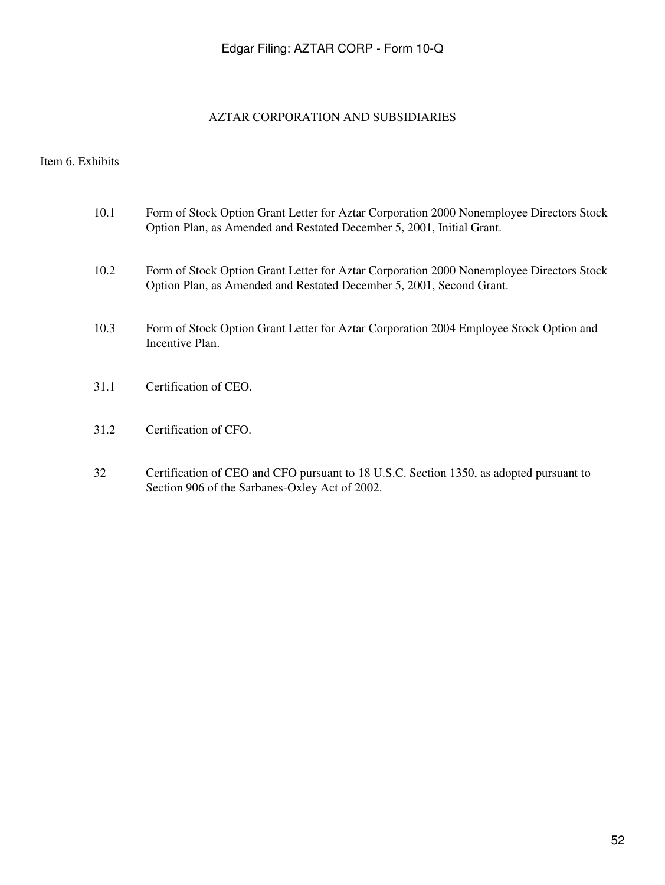## AZTAR CORPORATION AND SUBSIDIARIES

# Item 6. Exhibits

| 10.1 | Form of Stock Option Grant Letter for Aztar Corporation 2000 Nonemployee Directors Stock<br>Option Plan, as Amended and Restated December 5, 2001, Initial Grant. |
|------|-------------------------------------------------------------------------------------------------------------------------------------------------------------------|
| 10.2 | Form of Stock Option Grant Letter for Aztar Corporation 2000 Nonemployee Directors Stock<br>Option Plan, as Amended and Restated December 5, 2001, Second Grant.  |
| 10.3 | Form of Stock Option Grant Letter for Aztar Corporation 2004 Employee Stock Option and<br>Incentive Plan.                                                         |
| 31.1 | Certification of CEO.                                                                                                                                             |
| 31.2 | Certification of CFO.                                                                                                                                             |

 32 Certification of CEO and CFO pursuant to 18 U.S.C. Section 1350, as adopted pursuant to Section 906 of the Sarbanes-Oxley Act of 2002.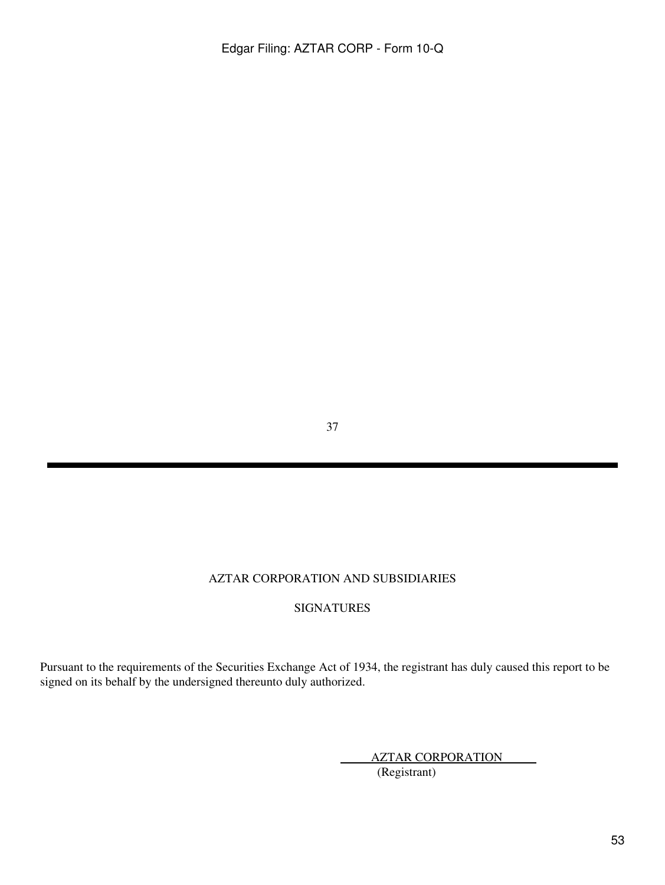37

# AZTAR CORPORATION AND SUBSIDIARIES

# SIGNATURES

Pursuant to the requirements of the Securities Exchange Act of 1934, the registrant has duly caused this report to be signed on its behalf by the undersigned thereunto duly authorized.

AZTAR CORPORATION

(Registrant)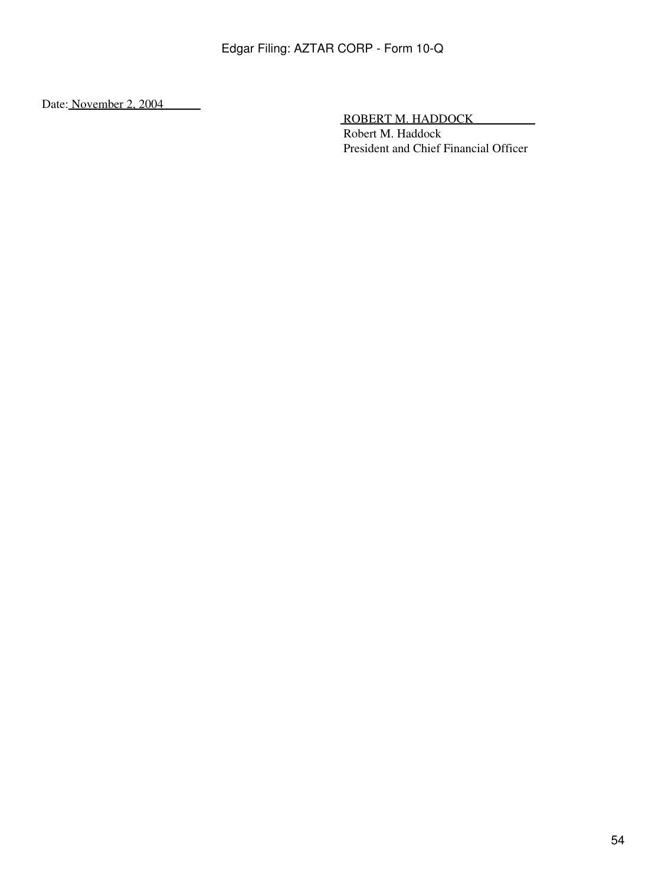Date: November 2, 2004

ROBERT M. HADDOCK

 Robert M. Haddock President and Chief Financial Officer